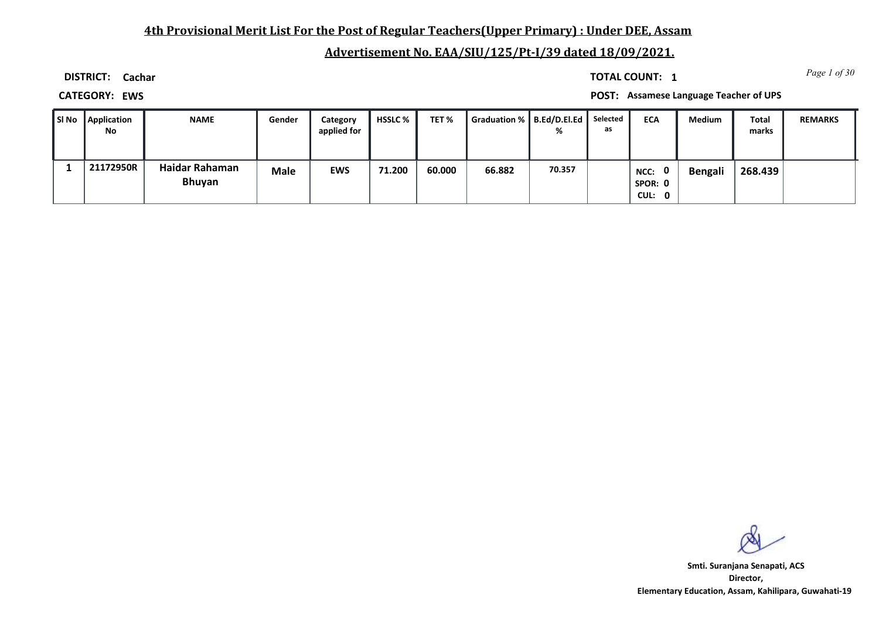# **4th Provisional Merit List For the Post of Regular Teachers(Upper Primary) : Under DEE, Assam**

# **Advertisement No. EAA/SIU/125/Pt-I/39 dated 18/09/2021.**

**DISTRICT: Cachar**

*Page 1 of 30* **TOTAL COUNT: 1**

**CATEGORY: EWS POST: Assamese Language Teacher of UPS**

| SI No | <b>Application</b><br>No | <b>NAME</b>                     | Gender      | Category<br>applied for | <b>HSSLC %</b> | TET%   | Graduation %   B.Ed/D.El.Ed |        | Selected<br>as | <b>ECA</b>                       | Medium  | <b>Total</b><br>marks | <b>REMARKS</b> |
|-------|--------------------------|---------------------------------|-------------|-------------------------|----------------|--------|-----------------------------|--------|----------------|----------------------------------|---------|-----------------------|----------------|
|       | 21172950R                | Haidar Rahaman<br><b>Bhuyan</b> | <b>Male</b> | <b>EWS</b>              | 71.200         | 60.000 | 66.882                      | 70.357 |                | - 0<br>NCC:<br>SPOR: 0<br>CUL: 0 | Bengali | 268.439               |                |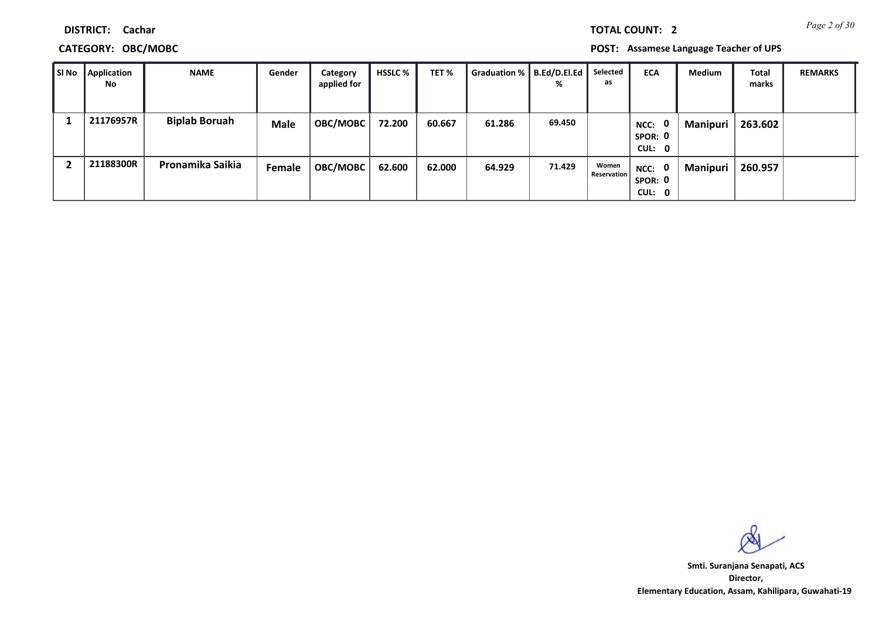**CATEGORY: OBC/MOBC POST: Assamese Language Teacher of UPS**

| I SI No | Application<br>No | <b>NAME</b>          | Gender      | Category<br>applied for | <b>HSSLC</b> % | TET %  | Graduation %   B.Ed/D.El.Ed | %      | Selected<br>as              | <b>ECA</b>                  | <b>Medium</b>   | Total<br>marks | <b>REMARKS</b> |
|---------|-------------------|----------------------|-------------|-------------------------|----------------|--------|-----------------------------|--------|-----------------------------|-----------------------------|-----------------|----------------|----------------|
|         | 21176957R         | <b>Biplab Boruah</b> | <b>Male</b> | <b>OBC/MOBC</b>         | 72.200         | 60.667 | 61.286                      | 69.450 |                             | NCC: 0<br>SPOR: 0<br>CUL: 0 | <b>Manipuri</b> | 263.602        |                |
|         | 21188300R         | Pronamika Saikia     | Female      | <b>OBC/MOBC</b>         | 62.600         | 62.000 | 64.929                      | 71.429 | Women<br><b>Reservation</b> | NCC: 0<br>SPOR: 0<br>CUL: 0 | <b>Manipuri</b> | 260.957        |                |

**Director, Elementary Education, Assam, Kahilipara, Guwahati-19 Smti. Suranjana Senapati, ACS**

*Page 2 of 30* **TOTAL COUNT: 2**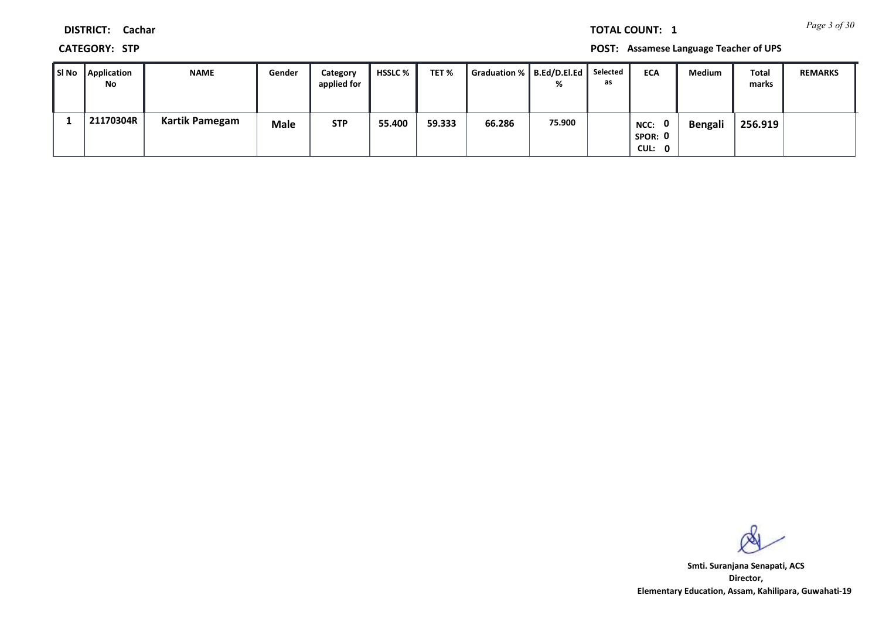*Page 3 of 30* **TOTAL COUNT: 1**

**DISTRICT: Cachar**

**CATEGORY: STP POST: Assamese Language Teacher of UPS**

| ∥ SI No | <b>Application</b><br>No | <b>NAME</b>    | Gender | Category<br>applied for | <b>HSSLC</b> % | TET %  | Graduation %   B.Ed/D.El.Ed | %      | Selected<br>as | <b>ECA</b>                     | <b>Medium</b>  | Total<br>marks | <b>REMARKS</b> |
|---------|--------------------------|----------------|--------|-------------------------|----------------|--------|-----------------------------|--------|----------------|--------------------------------|----------------|----------------|----------------|
|         | 21170304R                | Kartik Pamegam | Male   | <b>STP</b>              | 55.400         | 59.333 | 66.286                      | 75.900 |                | 0<br>NCC:<br>SPOR: 0<br>CUL: 0 | <b>Bengali</b> | 256.919        |                |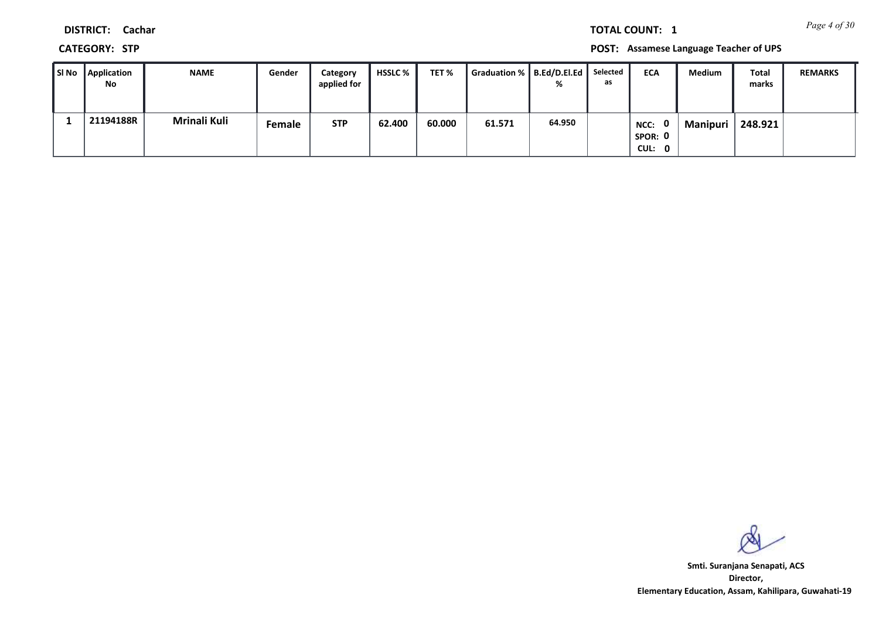*Page 4 of 30* **TOTAL COUNT: 1**

**DISTRICT: Cachar**

**CATEGORY: STP POST: Assamese Language Teacher of UPS**

| l SI No | <b>Application</b><br>No | <b>NAME</b>  | Gender | Category<br>applied for | <b>HSSLC %</b> | TET %  | Graduation %   B.Ed/D.El.Ed | %      | Selected<br>as | <b>ECA</b>                       | <b>Medium</b>   | <b>Total</b><br>marks | <b>REMARKS</b> |
|---------|--------------------------|--------------|--------|-------------------------|----------------|--------|-----------------------------|--------|----------------|----------------------------------|-----------------|-----------------------|----------------|
|         | 21194188R                | Mrinali Kuli | Female | <b>STP</b>              | 62.400         | 60.000 | 61.571                      | 64.950 |                | - റ<br>NCC:<br>SPOR: 0<br>CUL: 0 | <b>Manipuri</b> | 248.921               |                |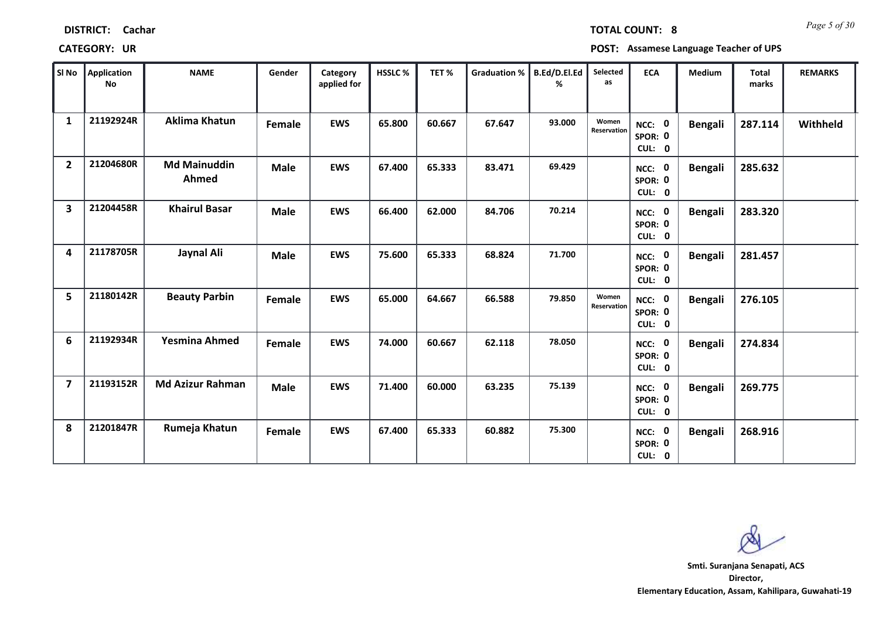| Sl No                   | Application<br>No | <b>NAME</b>                         | Gender      | Category<br>applied for | HSSLC % | TET%   | Graduation % | <b>B.Ed/D.El.Ed</b> | Selected<br>as       | <b>ECA</b>                  | Medium         | <b>Total</b><br>marks | <b>REMARKS</b> |
|-------------------------|-------------------|-------------------------------------|-------------|-------------------------|---------|--------|--------------|---------------------|----------------------|-----------------------------|----------------|-----------------------|----------------|
| $\mathbf{1}$            | 21192924R         | <b>Aklima Khatun</b>                | Female      | <b>EWS</b>              | 65.800  | 60.667 | 67.647       | 93.000              | Women<br>Reservation | NCC: 0<br>SPOR: 0<br>CUL: 0 | <b>Bengali</b> | 287.114               | Withheld       |
| $\overline{2}$          | 21204680R         | <b>Md Mainuddin</b><br><b>Ahmed</b> | <b>Male</b> | <b>EWS</b>              | 67.400  | 65.333 | 83.471       | 69.429              |                      | NCC: 0<br>SPOR: 0<br>CUL: 0 | <b>Bengali</b> | 285.632               |                |
| $\overline{\mathbf{3}}$ | 21204458R         | <b>Khairul Basar</b>                | <b>Male</b> | <b>EWS</b>              | 66.400  | 62.000 | 84.706       | 70.214              |                      | NCC: 0<br>SPOR: 0<br>CUL: 0 | <b>Bengali</b> | 283.320               |                |
| 4                       | 21178705R         | Jaynal Ali                          | Male        | <b>EWS</b>              | 75.600  | 65.333 | 68.824       | 71.700              |                      | NCC: 0<br>SPOR: 0<br>CUL: 0 | <b>Bengali</b> | 281.457               |                |
| 5                       | 21180142R         | <b>Beauty Parbin</b>                | Female      | <b>EWS</b>              | 65.000  | 64.667 | 66.588       | 79.850              | Women<br>Reservation | NCC: 0<br>SPOR: 0<br>CUL: 0 | <b>Bengali</b> | 276.105               |                |
| 6                       | 21192934R         | Yesmina Ahmed                       | Female      | <b>EWS</b>              | 74.000  | 60.667 | 62.118       | 78.050              |                      | NCC: 0<br>SPOR: 0<br>CUL: 0 | <b>Bengali</b> | 274.834               |                |
| $\overline{7}$          | 21193152R         | <b>Md Azizur Rahman</b>             | <b>Male</b> | <b>EWS</b>              | 71.400  | 60.000 | 63.235       | 75.139              |                      | NCC: 0<br>SPOR: 0<br>CUL: 0 | <b>Bengali</b> | 269.775               |                |
| 8                       | 21201847R         | Rumeja Khatun                       | Female      | <b>EWS</b>              | 67.400  | 65.333 | 60.882       | 75.300              |                      | NCC: 0<br>SPOR: 0<br>CUL: 0 | <b>Bengali</b> | 268.916               |                |

т

**DISTRICT: Cachar**

т

**CATEGORY: UR POST: Assamese Language Teacher of UPS**

**Director, Elementary Education, Assam, Kahilipara, Guwahati-19 Smti. Suranjana Senapati, ACS**

т

*Page 5 of 30* **TOTAL COUNT: 8**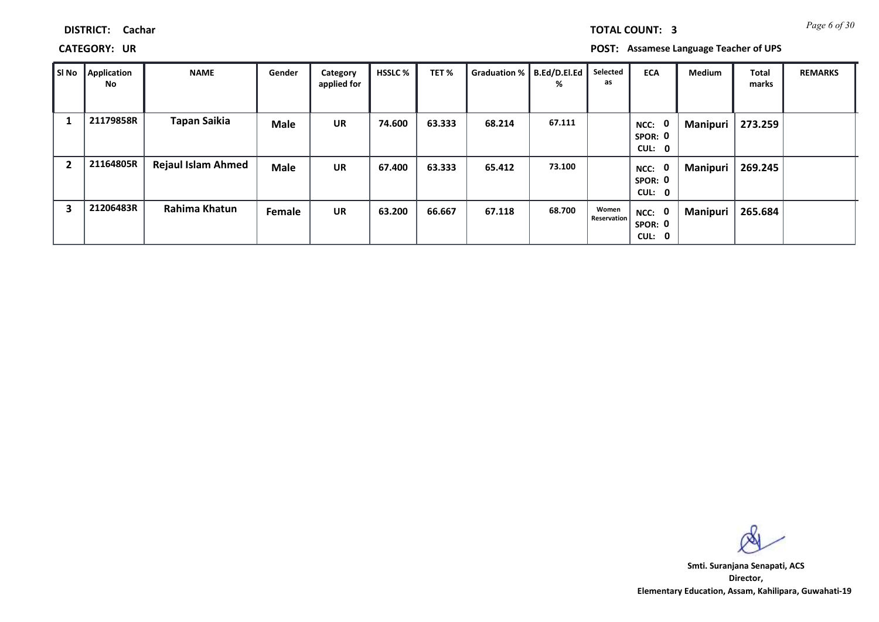**CATEGORY: UR POST: Assamese Language Teacher of UPS**

| SI No          | Application<br>No | <b>NAME</b>               | Gender      | Category<br>applied for | <b>HSSLC %</b> | TET %  | Graduation %   B.Ed/D.El.Ed | %      | Selected<br>as              | <b>ECA</b>                       | <b>Medium</b> | Total<br>marks | <b>REMARKS</b> |
|----------------|-------------------|---------------------------|-------------|-------------------------|----------------|--------|-----------------------------|--------|-----------------------------|----------------------------------|---------------|----------------|----------------|
|                | 21179858R         | Tapan Saikia              | <b>Male</b> | <b>UR</b>               | 74.600         | 63.333 | 68.214                      | 67.111 |                             | - 0<br>NCC:<br>SPOR: 0<br>CUL: 0 | Manipuri      | 273.259        |                |
| $\overline{2}$ | 21164805R         | <b>Rejaul Islam Ahmed</b> | <b>Male</b> | <b>UR</b>               | 67.400         | 63.333 | 65.412                      | 73.100 |                             | - 0<br>NCC:<br>SPOR: 0<br>CUL: 0 | Manipuri      | 269.245        |                |
| 3              | 21206483R         | Rahima Khatun             | Female      | <b>UR</b>               | 63.200         | 66.667 | 67.118                      | 68.700 | Women<br><b>Reservation</b> | NCC: 0<br>SPOR: 0<br>CUL: 0      | Manipuri      | 265.684        |                |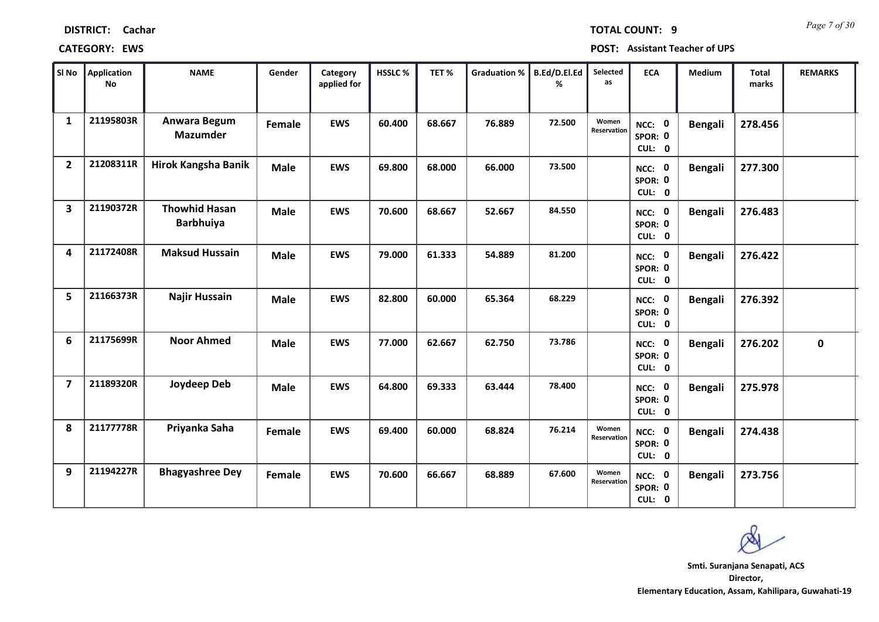| <b>DISTRICT:</b> | Cachar |
|------------------|--------|
|------------------|--------|

### **CATEGORY: EWS POST: Assistant Teacher of UPS**

| SI No          | Application<br><b>No</b> | <b>NAME</b>                              | Gender      | Category<br>applied for | HSSLC% | TET%   | Graduation % | B.Ed/D.El.Ed<br>% | Selected<br>as       | <b>ECA</b>                  | Medium         | <b>Total</b><br>marks | <b>REMARKS</b> |
|----------------|--------------------------|------------------------------------------|-------------|-------------------------|--------|--------|--------------|-------------------|----------------------|-----------------------------|----------------|-----------------------|----------------|
| 1              | 21195803R                | Anwara Begum<br><b>Mazumder</b>          | Female      | <b>EWS</b>              | 60.400 | 68.667 | 76.889       | 72.500            | Women<br>Reservation | NCC: 0<br>SPOR: 0<br>CUL: 0 | <b>Bengali</b> | 278.456               |                |
| $\overline{2}$ | 21208311R                | Hirok Kangsha Banik                      | <b>Male</b> | <b>EWS</b>              | 69.800 | 68.000 | 66.000       | 73.500            |                      | NCC: 0<br>SPOR: 0<br>CUL: 0 | <b>Bengali</b> | 277.300               |                |
| 3              | 21190372R                | <b>Thowhid Hasan</b><br><b>Barbhuiya</b> | <b>Male</b> | <b>EWS</b>              | 70.600 | 68.667 | 52.667       | 84.550            |                      | NCC: 0<br>SPOR: 0<br>CUL: 0 | <b>Bengali</b> | 276.483               |                |
| 4              | 21172408R                | <b>Maksud Hussain</b>                    | <b>Male</b> | <b>EWS</b>              | 79.000 | 61.333 | 54.889       | 81.200            |                      | NCC: 0<br>SPOR: 0<br>CUL: 0 | <b>Bengali</b> | 276.422               |                |
| 5              | 21166373R                | Najir Hussain                            | <b>Male</b> | <b>EWS</b>              | 82.800 | 60.000 | 65.364       | 68.229            |                      | NCC: 0<br>SPOR: 0<br>CUL: 0 | <b>Bengali</b> | 276.392               |                |
| 6              | 21175699R                | <b>Noor Ahmed</b>                        | <b>Male</b> | <b>EWS</b>              | 77.000 | 62.667 | 62.750       | 73.786            |                      | NCC: 0<br>SPOR: 0<br>CUL: 0 | <b>Bengali</b> | 276.202               | $\mathbf 0$    |
| $\overline{7}$ | 21189320R                | Joydeep Deb                              | <b>Male</b> | <b>EWS</b>              | 64.800 | 69.333 | 63.444       | 78.400            |                      | NCC: 0<br>SPOR: 0<br>CUL: 0 | <b>Bengali</b> | 275.978               |                |
| 8              | 21177778R                | Priyanka Saha                            | Female      | <b>EWS</b>              | 69.400 | 60.000 | 68.824       | 76.214            | Women<br>Reservation | NCC: 0<br>SPOR: 0<br>CUL: 0 | <b>Bengali</b> | 274.438               |                |
| 9              | 21194227R                | <b>Bhagyashree Dey</b>                   | Female      | <b>EWS</b>              | 70.600 | 66.667 | 68.889       | 67.600            | Women<br>Reservation | NCC: 0<br>SPOR: 0<br>CUL: 0 | <b>Bengali</b> | 273.756               |                |

*Page 7 of 30* **TOTAL COUNT: 9**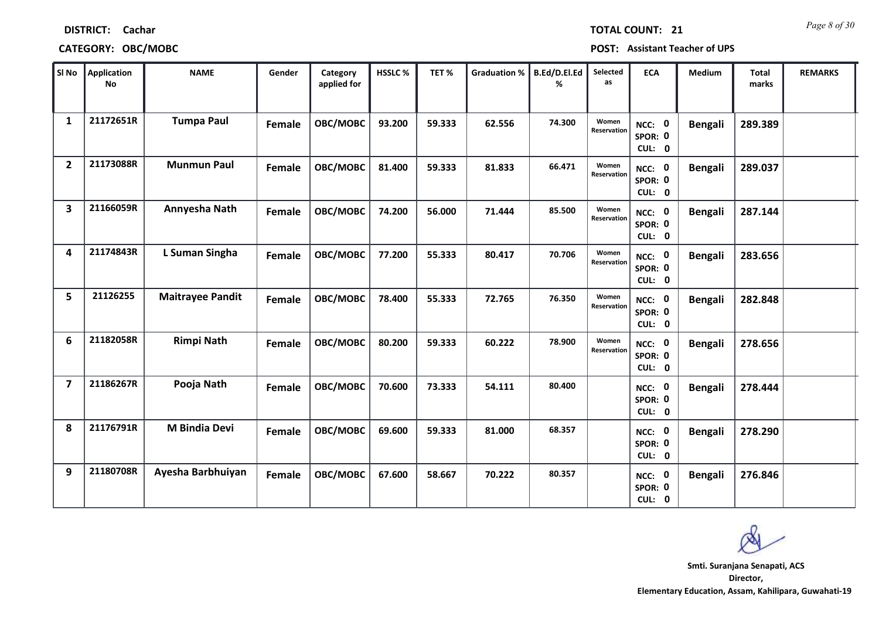| SI No                   | Application<br><b>No</b> | <b>NAME</b>             | Gender | Category<br>applied for | HSSLC% | TET%   | <b>Graduation %</b> | B.Ed/D.El.Ed<br>% | Selected<br>as       | <b>ECA</b>                  | Medium         | <b>Total</b><br>marks | <b>REMARKS</b> |
|-------------------------|--------------------------|-------------------------|--------|-------------------------|--------|--------|---------------------|-------------------|----------------------|-----------------------------|----------------|-----------------------|----------------|
| $\mathbf{1}$            | 21172651R                | <b>Tumpa Paul</b>       | Female | OBC/MOBC                | 93.200 | 59.333 | 62.556              | 74.300            | Women<br>Reservation | NCC: 0<br>SPOR: 0<br>CUL: 0 | <b>Bengali</b> | 289.389               |                |
| $\overline{2}$          | 21173088R                | <b>Munmun Paul</b>      | Female | OBC/MOBC                | 81.400 | 59.333 | 81.833              | 66.471            | Women<br>Reservation | NCC: 0<br>SPOR: 0<br>CUL: 0 | <b>Bengali</b> | 289.037               |                |
| $\overline{\mathbf{3}}$ | 21166059R                | Annyesha Nath           | Female | OBC/MOBC                | 74.200 | 56.000 | 71.444              | 85.500            | Women<br>Reservation | NCC: 0<br>SPOR: 0<br>CUL: 0 | <b>Bengali</b> | 287.144               |                |
| 4                       | 21174843R                | L Suman Singha          | Female | OBC/MOBC                | 77.200 | 55.333 | 80.417              | 70.706            | Women<br>Reservation | NCC: 0<br>SPOR: 0<br>CUL: 0 | <b>Bengali</b> | 283.656               |                |
| 5                       | 21126255                 | <b>Maitrayee Pandit</b> | Female | OBC/MOBC                | 78.400 | 55.333 | 72.765              | 76.350            | Women<br>Reservation | NCC: 0<br>SPOR: 0<br>CUL: 0 | <b>Bengali</b> | 282.848               |                |
| 6                       | 21182058R                | <b>Rimpi Nath</b>       | Female | OBC/MOBC                | 80.200 | 59.333 | 60.222              | 78.900            | Women<br>Reservation | NCC: 0<br>SPOR: 0<br>CUL: 0 | <b>Bengali</b> | 278.656               |                |
| $\overline{7}$          | 21186267R                | Pooja Nath              | Female | OBC/MOBC                | 70.600 | 73.333 | 54.111              | 80.400            |                      | NCC: 0<br>SPOR: 0<br>CUL: 0 | <b>Bengali</b> | 278.444               |                |
| 8                       | 21176791R                | <b>M Bindia Devi</b>    | Female | OBC/MOBC                | 69.600 | 59.333 | 81.000              | 68.357            |                      | NCC: 0<br>SPOR: 0<br>CUL: 0 | <b>Bengali</b> | 278.290               |                |
| 9                       | 21180708R                | Ayesha Barbhuiyan       | Female | OBC/MOBC                | 67.600 | 58.667 | 70.222              | 80.357            |                      | NCC: 0<br>SPOR: 0<br>CUL: 0 | <b>Bengali</b> | 276.846               |                |

# **CATEGORY: OBC/MOBC POST: Assistant Teacher of UPS**

**DISTRICT: Cachar**

**Director, Elementary Education, Assam, Kahilipara, Guwahati-19 Smti. Suranjana Senapati, ACS**

*Page 8 of 30* **TOTAL COUNT: 21**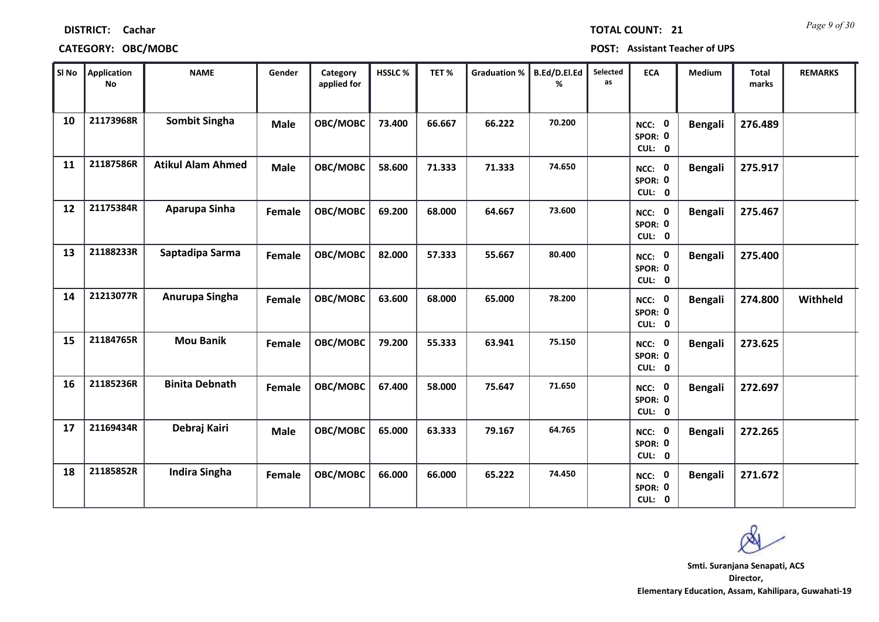| SI No | Application<br><b>No</b> | <b>NAME</b>              | Gender      | Category<br>applied for | HSSLC% | TET%   | <b>Graduation %</b> | B.Ed/D.El.Ed<br>℅ | Selected<br>as | <b>ECA</b>                         | Medium         | <b>Total</b><br>marks | <b>REMARKS</b> |
|-------|--------------------------|--------------------------|-------------|-------------------------|--------|--------|---------------------|-------------------|----------------|------------------------------------|----------------|-----------------------|----------------|
| 10    | 21173968R                | Sombit Singha            | <b>Male</b> | OBC/MOBC                | 73.400 | 66.667 | 66.222              | 70.200            |                | NCC: 0<br>SPOR: 0<br>CUL: 0        | <b>Bengali</b> | 276.489               |                |
| 11    | 21187586R                | <b>Atikul Alam Ahmed</b> | <b>Male</b> | OBC/MOBC                | 58.600 | 71.333 | 71.333              | 74.650            |                | NCC: 0<br>SPOR: 0<br>CUL: 0        | <b>Bengali</b> | 275.917               |                |
| 12    | 21175384R                | Aparupa Sinha            | Female      | OBC/MOBC                | 69.200 | 68.000 | 64.667              | 73.600            |                | NCC: 0<br>SPOR: 0<br>CUL: 0        | <b>Bengali</b> | 275.467               |                |
| 13    | 21188233R                | Saptadipa Sarma          | Female      | OBC/MOBC                | 82.000 | 57.333 | 55.667              | 80.400            |                | NCC: 0<br>SPOR: 0<br>CUL: 0        | Bengali        | 275.400               |                |
| 14    | 21213077R                | Anurupa Singha           | Female      | OBC/MOBC                | 63.600 | 68.000 | 65.000              | 78.200            |                | NCC: 0<br>SPOR: 0<br>CUL: 0        | <b>Bengali</b> | 274.800               | Withheld       |
| 15    | 21184765R                | <b>Mou Banik</b>         | Female      | OBC/MOBC                | 79.200 | 55.333 | 63.941              | 75.150            |                | NCC: 0<br>SPOR: 0<br>CUL: 0        | <b>Bengali</b> | 273.625               |                |
| 16    | 21185236R                | <b>Binita Debnath</b>    | Female      | OBC/MOBC                | 67.400 | 58.000 | 75.647              | 71.650            |                | NCC: 0<br>SPOR: 0<br>CUL: 0        | <b>Bengali</b> | 272.697               |                |
| 17    | 21169434R                | Debraj Kairi             | <b>Male</b> | OBC/MOBC                | 65.000 | 63.333 | 79.167              | 64.765            |                | NCC: 0<br>SPOR: 0<br>CUL: 0        | <b>Bengali</b> | 272.265               |                |
| 18    | 21185852R                | <b>Indira Singha</b>     | Female      | OBC/MOBC                | 66.000 | 66.000 | 65.222              | 74.450            |                | <b>NCC: 0</b><br>SPOR: 0<br>CUL: 0 | <b>Bengali</b> | 271.672               |                |

**CATEGORY: OBC/MOBC POST: Assistant Teacher of UPS**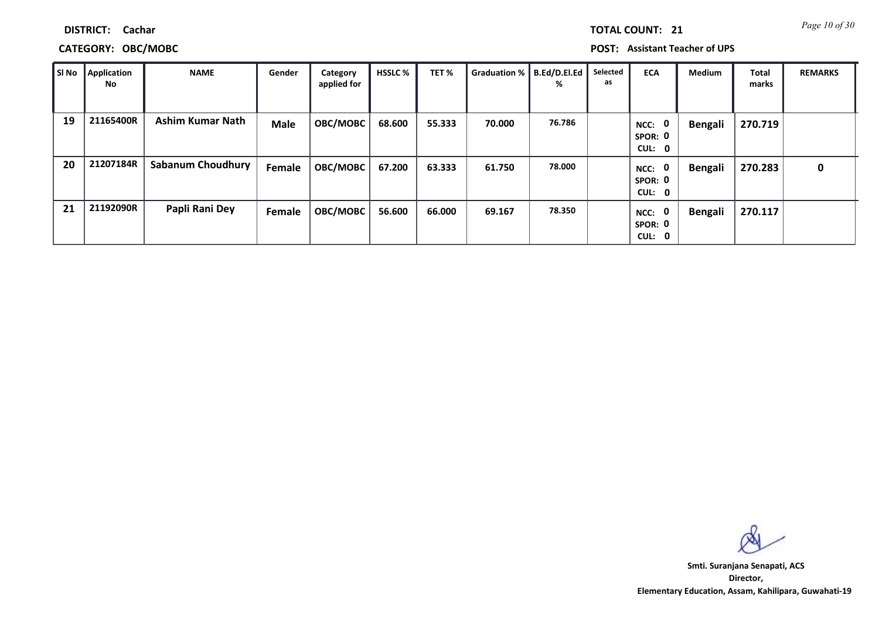|  | TOTAL COUNT: |  | 2 |
|--|--------------|--|---|
|  |              |  |   |

# **CATEGORY: OBC/MOBC POST: Assistant Teacher of UPS**

| SI No | Application<br>No | <b>NAME</b>              | Gender      | Category<br>applied for | <b>HSSLC %</b> | TET%   | Graduation %   B.Ed/D.El.Ed | %      | Selected<br>as | <b>ECA</b>                       | <b>Medium</b>  | Total<br>marks | <b>REMARKS</b> |
|-------|-------------------|--------------------------|-------------|-------------------------|----------------|--------|-----------------------------|--------|----------------|----------------------------------|----------------|----------------|----------------|
| 19    | 21165400R         | <b>Ashim Kumar Nath</b>  | <b>Male</b> | OBC/MOBC                | 68.600         | 55.333 | 70.000                      | 76.786 |                | 0<br>NCC:<br>SPOR: 0<br>CUL: 0   | <b>Bengali</b> | 270.719        |                |
| 20    | 21207184R         | <b>Sabanum Choudhury</b> | Female      | <b>OBC/MOBC</b>         | 67.200         | 63.333 | 61.750                      | 78.000 |                | 0<br>NCC:<br>SPOR: 0<br>CUL: 0   | <b>Bengali</b> | 270.283        | $\mathbf{0}$   |
| 21    | 21192090R         | Papli Rani Dey           | Female      | OBC/MOBC                | 56.600         | 66.000 | 69.167                      | 78.350 |                | - 0<br>NCC:<br>SPOR: 0<br>CUL: 0 | <b>Bengali</b> | 270.117        |                |

**Director, Elementary Education, Assam, Kahilipara, Guwahati-19 Smti. Suranjana Senapati, ACS**

**21 Page 10 of 30**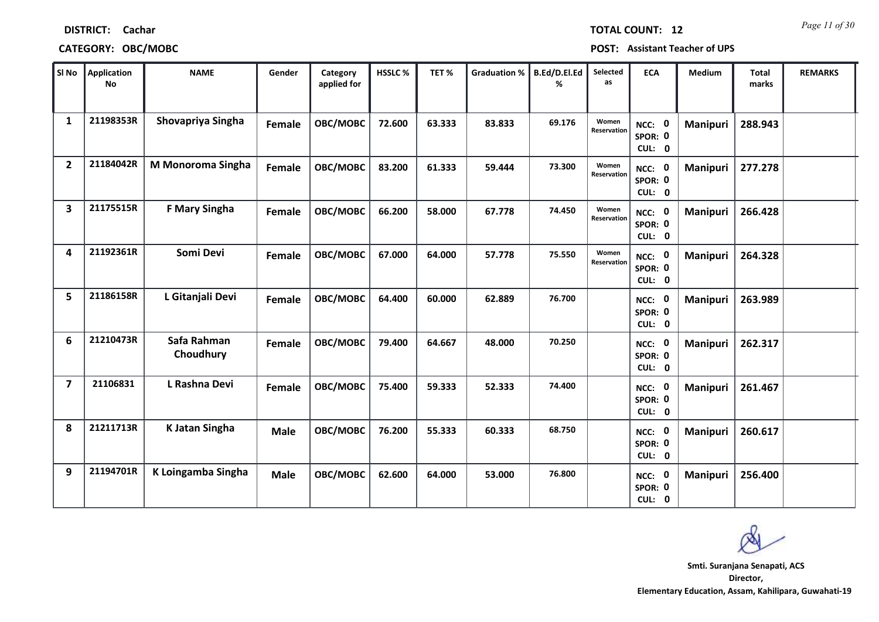| SI No                   | Application<br><b>No</b> | <b>NAME</b>              | Gender      | Category<br>applied for | HSSLC% | TET%   | <b>Graduation %</b> | B.Ed/D.El.Ed<br>% | Selected<br>as       | <b>ECA</b>                               | Medium          | <b>Total</b><br>marks | <b>REMARKS</b> |
|-------------------------|--------------------------|--------------------------|-------------|-------------------------|--------|--------|---------------------|-------------------|----------------------|------------------------------------------|-----------------|-----------------------|----------------|
| $\mathbf{1}$            | 21198353R                | Shovapriya Singha        | Female      | OBC/MOBC                | 72.600 | 63.333 | 83.833              | 69.176            | Women<br>Reservation | NCC: 0<br>SPOR: 0<br>CUL: 0              | <b>Manipuri</b> | 288.943               |                |
| $\overline{2}$          | 21184042R                | M Monoroma Singha        | Female      | OBC/MOBC                | 83.200 | 61.333 | 59.444              | 73.300            | Women<br>Reservation | NCC: 0<br>SPOR: 0<br>CUL: 0              | <b>Manipuri</b> | 277.278               |                |
| $\overline{\mathbf{3}}$ | 21175515R                | <b>F Mary Singha</b>     | Female      | OBC/MOBC                | 66.200 | 58.000 | 67.778              | 74.450            | Women<br>Reservation | $\mathbf 0$<br>NCC:<br>SPOR: 0<br>CUL: 0 | <b>Manipuri</b> | 266.428               |                |
| 4                       | 21192361R                | Somi Devi                | Female      | OBC/MOBC                | 67.000 | 64.000 | 57.778              | 75.550            | Women<br>Reservation | NCC: 0<br>SPOR: 0<br>CUL: 0              | <b>Manipuri</b> | 264.328               |                |
| 5                       | 21186158R                | L Gitanjali Devi         | Female      | OBC/MOBC                | 64.400 | 60.000 | 62.889              | 76.700            |                      | NCC: 0<br>SPOR: 0<br>CUL: 0              | <b>Manipuri</b> | 263.989               |                |
| 6                       | 21210473R                | Safa Rahman<br>Choudhury | Female      | OBC/MOBC                | 79.400 | 64.667 | 48.000              | 70.250            |                      | NCC: 0<br>SPOR: 0<br>CUL: 0              | <b>Manipuri</b> | 262.317               |                |
| $\overline{7}$          | 21106831                 | L Rashna Devi            | Female      | OBC/MOBC                | 75.400 | 59.333 | 52.333              | 74.400            |                      | NCC: 0<br>SPOR: 0<br>CUL: 0              | Manipuri        | 261.467               |                |
| 8                       | 21211713R                | K Jatan Singha           | <b>Male</b> | OBC/MOBC                | 76.200 | 55.333 | 60.333              | 68.750            |                      | <b>NCC: 0</b><br>SPOR: 0<br>CUL: 0       | Manipuri        | 260.617               |                |
| 9                       | 21194701R                | K Loingamba Singha       | <b>Male</b> | OBC/MOBC                | 62.600 | 64.000 | 53.000              | 76.800            |                      | NCC: 0<br>SPOR: 0<br>CUL: 0              | Manipuri        | 256.400               |                |

# **CATEGORY: OBC/MOBC POST: Assistant Teacher of UPS**

**Director, Elementary Education, Assam, Kahilipara, Guwahati-19 Smti. Suranjana Senapati, ACS**

*Page 11 of 30* **TOTAL COUNT: 12**

**DISTRICT: Cachar**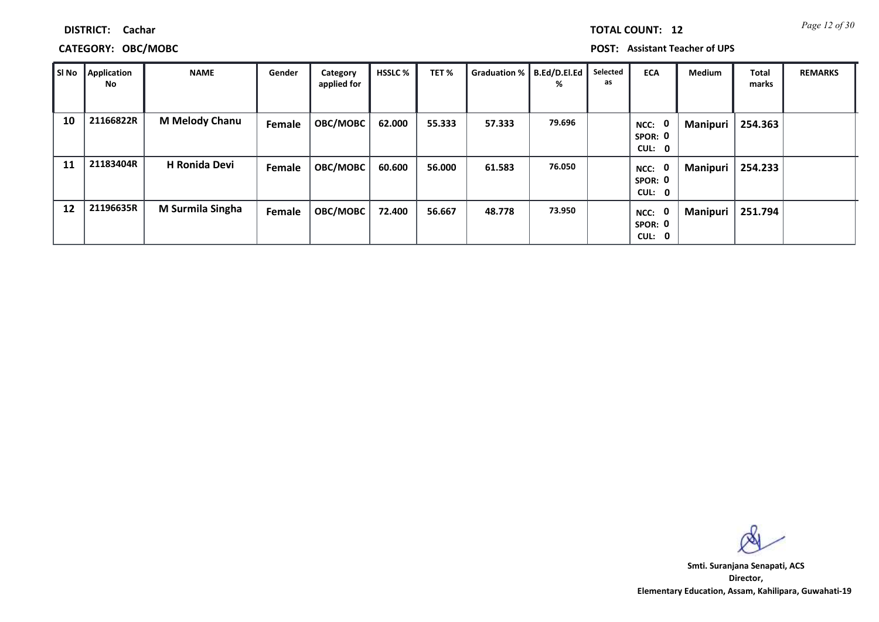|  | <b>TOTAL COUNT:</b> | 1 |
|--|---------------------|---|
|  |                     |   |
|  |                     |   |

# **CATEGORY: OBC/MOBC POST: Assistant Teacher of UPS**

| SI No | Application<br>No | <b>NAME</b>           | Gender | Category<br>applied for | <b>HSSLC %</b> | TET%   | Graduation %   B.Ed/D.El.Ed | %      | Selected<br>as | <b>ECA</b>                       | <b>Medium</b>   | <b>Total</b><br>marks | <b>REMARKS</b> |
|-------|-------------------|-----------------------|--------|-------------------------|----------------|--------|-----------------------------|--------|----------------|----------------------------------|-----------------|-----------------------|----------------|
| 10    | 21166822R         | <b>M Melody Chanu</b> | Female | OBC/MOBC                | 62.000         | 55.333 | 57.333                      | 79.696 |                | - 0<br>NCC:<br>SPOR: 0<br>CUL: 0 | Manipuri        | 254.363               |                |
| 11    | 21183404R         | <b>H Ronida Devi</b>  | Female | OBC/MOBC                | 60.600         | 56.000 | 61.583                      | 76.050 |                | - 0<br>NCC:<br>SPOR: 0<br>CUL: 0 | <b>Manipuri</b> | 254.233               |                |
| 12    | 21196635R         | M Surmila Singha      | Female | OBC/MOBC                | 72.400         | 56.667 | 48.778                      | 73.950 |                | NCC: 0<br>SPOR: 0<br>CUL: 0      | Manipuri        | 251.794               |                |

**Director, Elementary Education, Assam, Kahilipara, Guwahati-19 Smti. Suranjana Senapati, ACS**

**12 Page 12 of 30**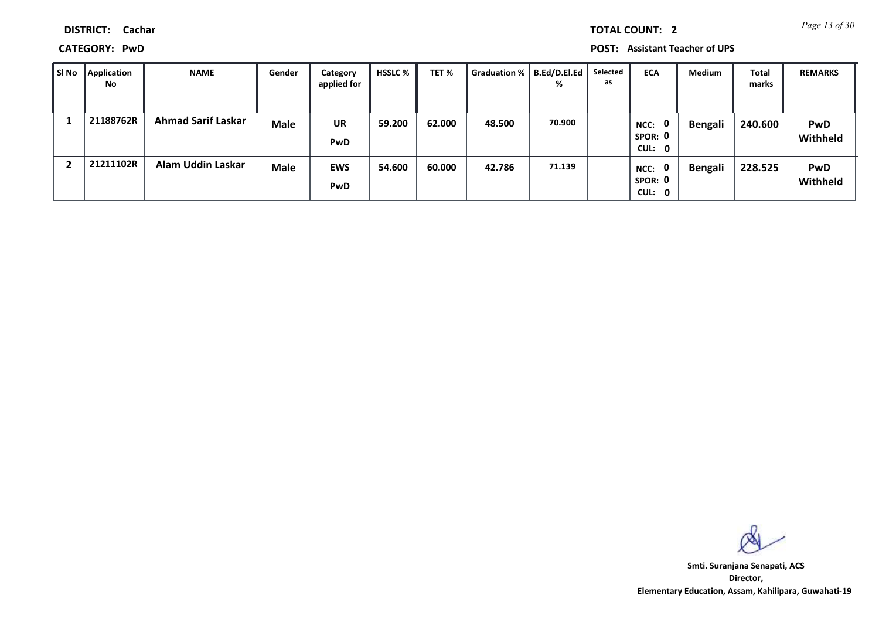*Page 13 of 30* **TOTAL COUNT: 2**

### **DISTRICT: Cachar**

**CATEGORY: PwD POST: Assistant Teacher of UPS**

| SI No | Application<br><b>No</b> | <b>NAME</b>               | Gender      | Category<br>applied for | <b>HSSLC %</b> | TET%   | Graduation % | B.Ed/D.El.Ed<br>% | Selected<br>as | <b>ECA</b>                                | <b>Medium</b>  | Total<br>marks | <b>REMARKS</b>         |
|-------|--------------------------|---------------------------|-------------|-------------------------|----------------|--------|--------------|-------------------|----------------|-------------------------------------------|----------------|----------------|------------------------|
|       | 21188762R                | <b>Ahmad Sarif Laskar</b> | <b>Male</b> | <b>UR</b><br>PwD        | 59.200         | 62.000 | 48.500       | 70.900            |                | $\mathbf{0}$<br>NCC:<br>SPOR: 0<br>CUL: 0 | <b>Bengali</b> | 240.600        | <b>PwD</b><br>Withheld |
|       | 21211102R                | <b>Alam Uddin Laskar</b>  | <b>Male</b> | <b>EWS</b><br>PwD       | 54.600         | 60.000 | 42.786       | 71.139            |                | 0<br>NCC:<br>SPOR: 0<br>CUL: 0            | <b>Bengali</b> | 228.525        | <b>PwD</b><br>Withheld |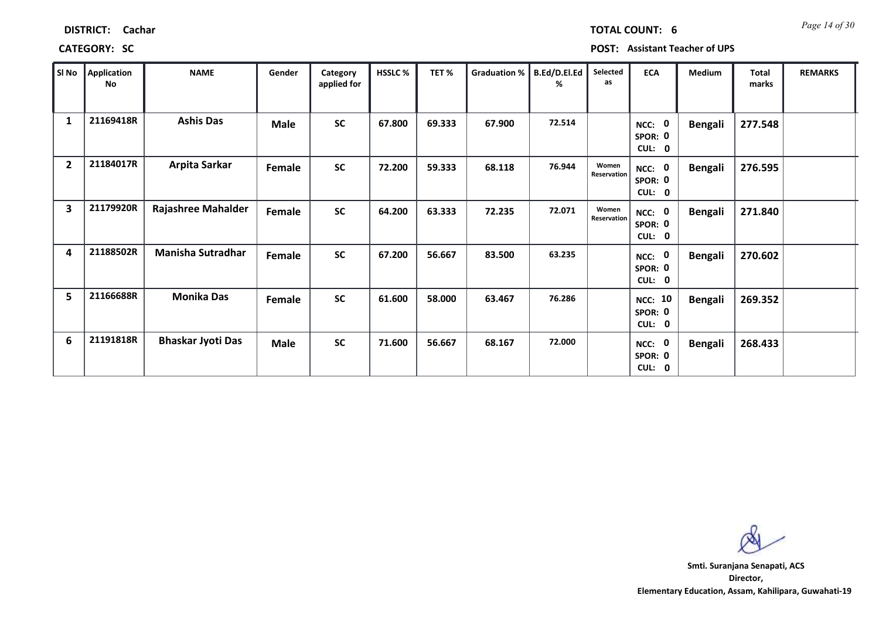| SI No                   | Application<br>No | <b>NAME</b>              | Gender      | Category<br>applied for | <b>HSSLC %</b> | TET%   | Graduation % | B.Ed/D.El.Ed<br>℅ | Selected<br>as       | <b>ECA</b>                                | Medium         | <b>Total</b><br>marks | <b>REMARKS</b> |
|-------------------------|-------------------|--------------------------|-------------|-------------------------|----------------|--------|--------------|-------------------|----------------------|-------------------------------------------|----------------|-----------------------|----------------|
| 1                       | 21169418R         | <b>Ashis Das</b>         | <b>Male</b> | <b>SC</b>               | 67.800         | 69.333 | 67.900       | 72.514            |                      | 0<br>NCC:<br>SPOR: 0<br>CUL: 0            | <b>Bengali</b> | 277.548               |                |
| $\overline{2}$          | 21184017R         | Arpita Sarkar            | Female      | <b>SC</b>               | 72.200         | 59.333 | 68.118       | 76.944            | Women<br>Reservation | NCC: 0<br>SPOR: 0<br>CUL: 0               | <b>Bengali</b> | 276.595               |                |
| $\overline{\mathbf{3}}$ | 21179920R         | Rajashree Mahalder       | Female      | <b>SC</b>               | 64.200         | 63.333 | 72.235       | 72.071            | Women<br>Reservation | NCC: 0<br>SPOR: 0<br>CUL: 0               | <b>Bengali</b> | 271.840               |                |
| 4                       | 21188502R         | <b>Manisha Sutradhar</b> | Female      | <b>SC</b>               | 67.200         | 56.667 | 83.500       | 63.235            |                      | $\mathbf{0}$<br>NCC:<br>SPOR: 0<br>CUL: 0 | <b>Bengali</b> | 270.602               |                |
| 5                       | 21166688R         | <b>Monika Das</b>        | Female      | <b>SC</b>               | 61.600         | 58.000 | 63.467       | 76.286            |                      | <b>NCC: 10</b><br>SPOR: 0<br>CUL: 0       | <b>Bengali</b> | 269.352               |                |
| 6                       | 21191818R         | <b>Bhaskar Jyoti Das</b> | Male        | <b>SC</b>               | 71.600         | 56.667 | 68.167       | 72.000            |                      | NCC: 0<br>SPOR: 0<br>CUL: 0               | <b>Bengali</b> | 268.433               |                |

**CATEGORY: SC POST: Assistant Teacher of UPS**

**Director, Elementary Education, Assam, Kahilipara, Guwahati-19 Smti. Suranjana Senapati, ACS**

*Page 14 of 30* **TOTAL COUNT: 6**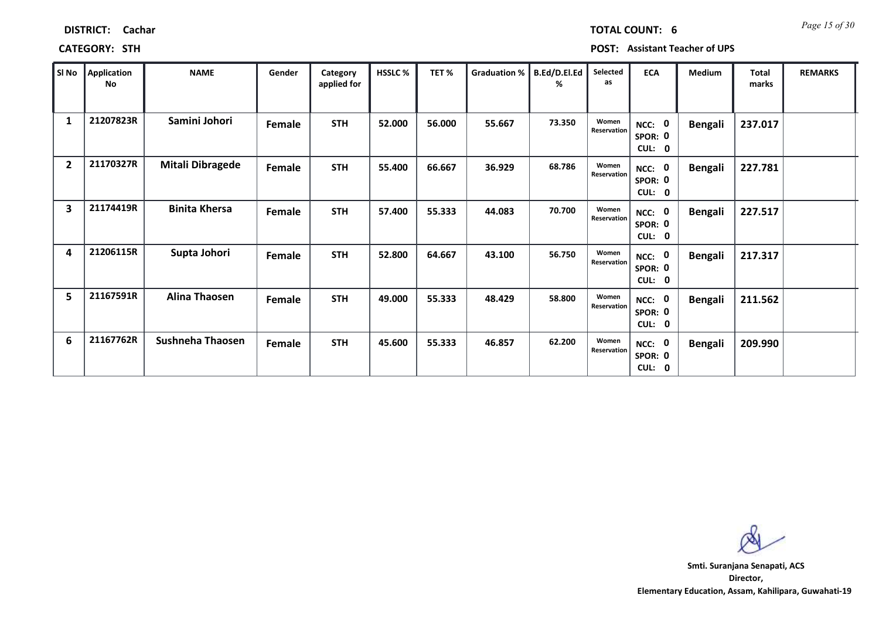| Sl No          | Application<br>No | <b>NAME</b>             | Gender | Category<br>applied for | <b>HSSLC%</b> | TET%   | Graduation % | B.Ed/D.El.Ed<br>% | Selected<br>as       | <b>ECA</b>                       | Medium         | <b>Total</b><br>marks | <b>REMARKS</b> |
|----------------|-------------------|-------------------------|--------|-------------------------|---------------|--------|--------------|-------------------|----------------------|----------------------------------|----------------|-----------------------|----------------|
| 1              | 21207823R         | Samini Johori           | Female | <b>STH</b>              | 52.000        | 56.000 | 55.667       | 73.350            | Women<br>Reservation | NCC: 0<br>SPOR: 0<br>CUL: 0      | <b>Bengali</b> | 237.017               |                |
| $\overline{2}$ | 21170327R         | <b>Mitali Dibragede</b> | Female | <b>STH</b>              | 55.400        | 66.667 | 36.929       | 68.786            | Women<br>Reservation | - 0<br>NCC:<br>SPOR: 0<br>CUL: 0 | <b>Bengali</b> | 227.781               |                |
| 3              | 21174419R         | <b>Binita Khersa</b>    | Female | <b>STH</b>              | 57.400        | 55.333 | 44.083       | 70.700            | Women<br>Reservation | NCC: 0<br>SPOR: 0<br>CUL: 0      | <b>Bengali</b> | 227.517               |                |
| 4              | 21206115R         | Supta Johori            | Female | <b>STH</b>              | 52.800        | 64.667 | 43.100       | 56.750            | Women<br>Reservation | NCC: 0<br>SPOR: 0<br>CUL: 0      | <b>Bengali</b> | 217.317               |                |
| 5              | 21167591R         | <b>Alina Thaosen</b>    | Female | <b>STH</b>              | 49.000        | 55.333 | 48.429       | 58.800            | Women<br>Reservation | NCC: 0<br>SPOR: 0<br>CUL: 0      | <b>Bengali</b> | 211.562               |                |
| 6              | 21167762R         | Sushneha Thaosen        | Female | <b>STH</b>              | 45.600        | 55.333 | 46.857       | 62.200            | Women<br>Reservation | NCC: 0<br>SPOR: 0<br>CUL: 0      | <b>Bengali</b> | 209.990               |                |

### **CATEGORY: STH POST: Assistant Teacher of UPS**

**DISTRICT: Cachar**

**Director, Elementary Education, Assam, Kahilipara, Guwahati-19 Smti. Suranjana Senapati, ACS**

*Page 15 of 30* **TOTAL COUNT: 6**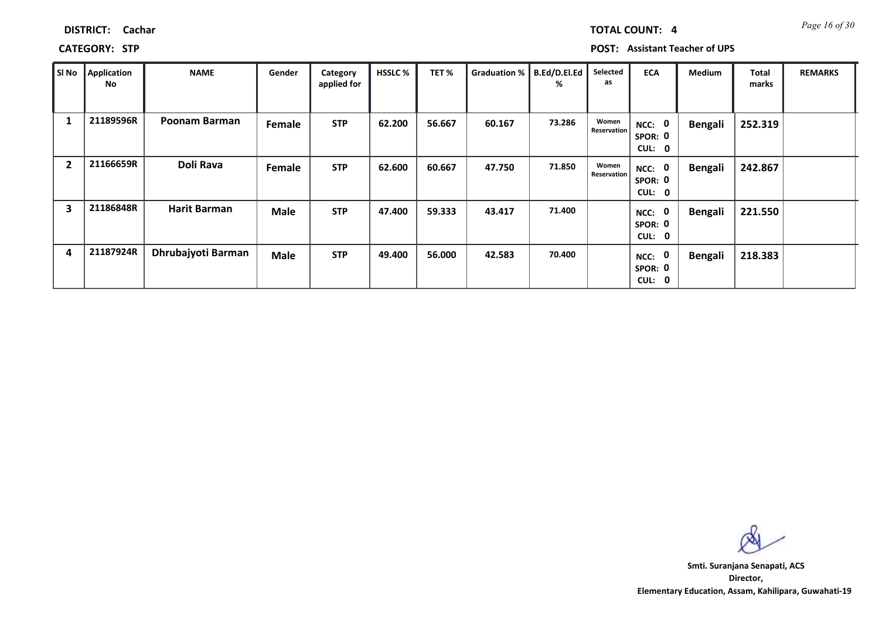| Page 16 of 30 |
|---------------|
|               |

**CATEGORY: STP POST: Assistant Teacher of UPS**

| SI No                   | Application<br>No | <b>NAME</b>          | Gender      | Category<br>applied for | <b>HSSLC %</b> | TET%   | Graduation % | B.Ed/D.El.Ed<br>% | Selected<br>as       | <b>ECA</b>                                         | Medium         | <b>Total</b><br>marks | <b>REMARKS</b> |
|-------------------------|-------------------|----------------------|-------------|-------------------------|----------------|--------|--------------|-------------------|----------------------|----------------------------------------------------|----------------|-----------------------|----------------|
| 1                       | 21189596R         | <b>Poonam Barman</b> | Female      | <b>STP</b>              | 62.200         | 56.667 | 60.167       | 73.286            | Women<br>Reservation | $\mathbf 0$<br>NCC:<br>SPOR: 0<br><b>CUL:</b><br>0 | <b>Bengali</b> | 252.319               |                |
| $\overline{2}$          | 21166659R         | Doli Rava            | Female      | <b>STP</b>              | 62.600         | 60.667 | 47.750       | 71.850            | Women<br>Reservation | $\mathbf 0$<br>NCC:<br>SPOR: 0<br>CUL:<br>0        | <b>Bengali</b> | 242.867               |                |
| $\overline{\mathbf{3}}$ | 21186848R         | <b>Harit Barman</b>  | <b>Male</b> | <b>STP</b>              | 47.400         | 59.333 | 43.417       | 71.400            |                      | 0<br>NCC:<br>SPOR: 0<br>CUL: 0                     | <b>Bengali</b> | 221.550               |                |
| 4                       | 21187924R         | Dhrubajyoti Barman   | <b>Male</b> | <b>STP</b>              | 49.400         | 56.000 | 42.583       | 70.400            |                      | 0<br>NCC:<br>SPOR: 0<br>CUL: 0                     | <b>Bengali</b> | 218.383               |                |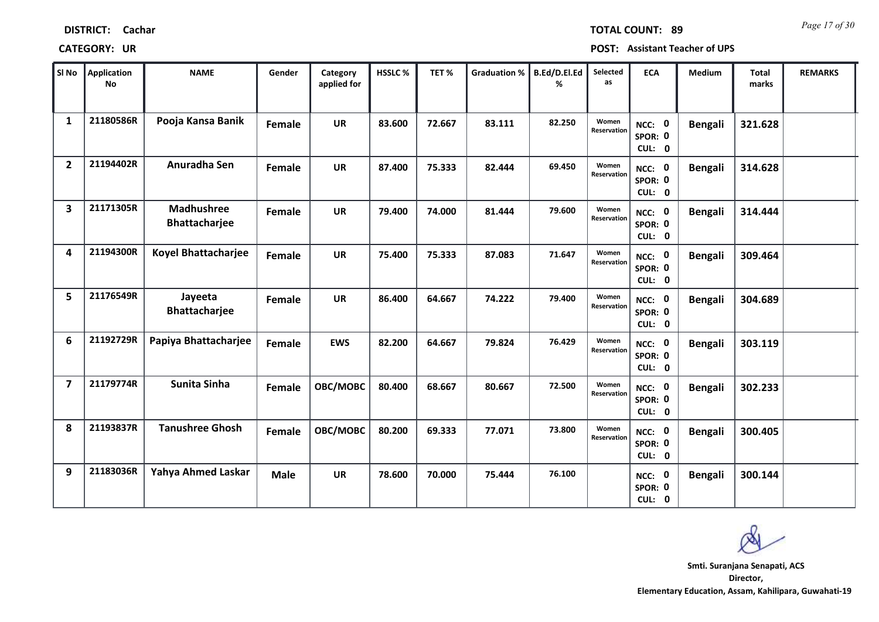| SI No                   | <b>Application</b><br><b>No</b> | <b>NAME</b>                        | Gender      | Category<br>applied for | HSSLC% | TET%   | <b>Graduation %</b> | B.Ed/D.El.Ed<br>% | Selected<br>as       | <b>ECA</b>                               | Medium         | <b>Total</b><br>marks | <b>REMARKS</b> |
|-------------------------|---------------------------------|------------------------------------|-------------|-------------------------|--------|--------|---------------------|-------------------|----------------------|------------------------------------------|----------------|-----------------------|----------------|
| $\mathbf{1}$            | 21180586R                       | Pooja Kansa Banik                  | Female      | <b>UR</b>               | 83.600 | 72.667 | 83.111              | 82.250            | Women<br>Reservation | NCC: 0<br>SPOR: 0<br>CUL: 0              | <b>Bengali</b> | 321.628               |                |
| $\overline{2}$          | 21194402R                       | Anuradha Sen                       | Female      | <b>UR</b>               | 87.400 | 75.333 | 82.444              | 69.450            | Women<br>Reservation | NCC: 0<br>SPOR: 0<br>CUL: 0              | <b>Bengali</b> | 314.628               |                |
| $\overline{\mathbf{3}}$ | 21171305R                       | <b>Madhushree</b><br>Bhattacharjee | Female      | <b>UR</b>               | 79.400 | 74.000 | 81.444              | 79.600            | Women<br>Reservation | $\mathbf 0$<br>NCC:<br>SPOR: 0<br>CUL: 0 | <b>Bengali</b> | 314.444               |                |
| 4                       | 21194300R                       | Koyel Bhattacharjee                | Female      | <b>UR</b>               | 75.400 | 75.333 | 87.083              | 71.647            | Women<br>Reservation | NCC: 0<br>SPOR: 0<br>CUL: 0              | <b>Bengali</b> | 309.464               |                |
| 5                       | 21176549R                       | Jayeeta<br><b>Bhattacharjee</b>    | Female      | <b>UR</b>               | 86.400 | 64.667 | 74.222              | 79.400            | Women<br>Reservation | NCC: 0<br>SPOR: 0<br>CUL: 0              | <b>Bengali</b> | 304.689               |                |
| 6                       | 21192729R                       | Papiya Bhattacharjee               | Female      | <b>EWS</b>              | 82.200 | 64.667 | 79.824              | 76.429            | Women<br>Reservation | NCC: 0<br>SPOR: 0<br>CUL: 0              | <b>Bengali</b> | 303.119               |                |
| $\overline{\mathbf{z}}$ | 21179774R                       | Sunita Sinha                       | Female      | OBC/MOBC                | 80.400 | 68.667 | 80.667              | 72.500            | Women<br>Reservation | $\mathbf 0$<br>NCC:<br>SPOR: 0<br>CUL: 0 | <b>Bengali</b> | 302.233               |                |
| 8                       | 21193837R                       | <b>Tanushree Ghosh</b>             | Female      | OBC/MOBC                | 80.200 | 69.333 | 77.071              | 73.800            | Women<br>Reservation | NCC: 0<br>SPOR: 0<br>CUL: 0              | <b>Bengali</b> | 300.405               |                |
| 9                       | 21183036R                       | Yahya Ahmed Laskar                 | <b>Male</b> | <b>UR</b>               | 78.600 | 70.000 | 75.444              | 76.100            |                      | <b>NCC: 0</b><br>SPOR: 0<br>CUL: 0       | <b>Bengali</b> | 300.144               |                |

**CATEGORY: UR POST: Assistant Teacher of UPS**

**DISTRICT: Cachar**

т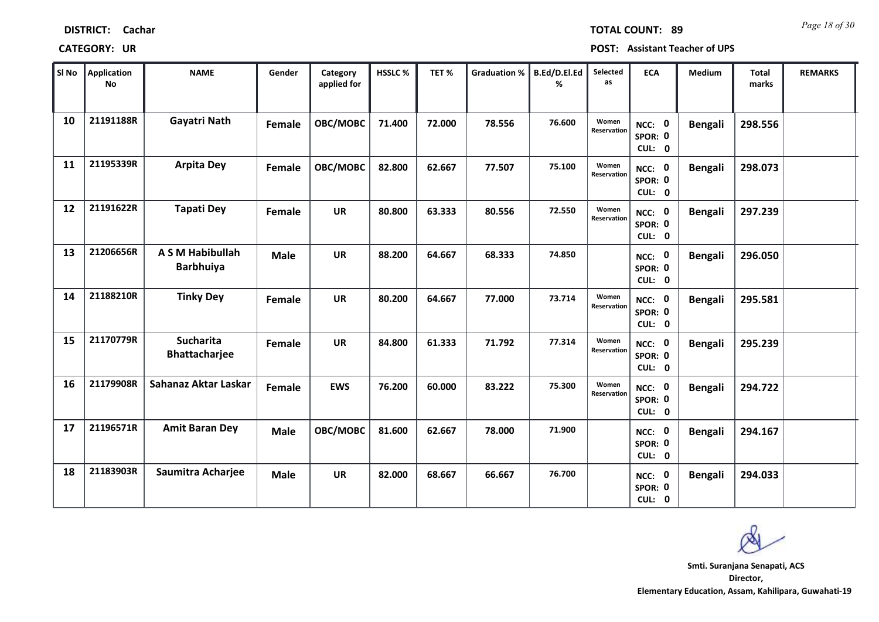| SI No | Application<br><b>No</b> | <b>NAME</b>                              | Gender        | Category<br>applied for | HSSLC% | TET%   | <b>Graduation %</b> | B.Ed/D.El.Ed<br>℅ | Selected<br>as       | <b>ECA</b>                         | Medium         | <b>Total</b><br>marks | <b>REMARKS</b> |  |
|-------|--------------------------|------------------------------------------|---------------|-------------------------|--------|--------|---------------------|-------------------|----------------------|------------------------------------|----------------|-----------------------|----------------|--|
| 10    | 21191188R                | Gayatri Nath                             | Female        | OBC/MOBC                | 71.400 | 72.000 | 78.556              | 76.600            | Women<br>Reservation | NCC: 0<br>SPOR: 0<br>CUL: 0        | <b>Bengali</b> | 298.556               |                |  |
| 11    | 21195339R                | <b>Arpita Dey</b>                        | Female        | OBC/MOBC                | 82.800 | 62.667 | 77.507              | 75.100            | Women<br>Reservation | NCC: 0<br>SPOR: 0<br>CUL: 0        | <b>Bengali</b> | 298.073               |                |  |
| 12    | 21191622R                | <b>Tapati Dey</b>                        | Female        | <b>UR</b>               | 80.800 | 63.333 | 80.556              | 72.550            | Women<br>Reservation | NCC: 0<br>SPOR: 0<br>CUL: 0        | <b>Bengali</b> | 297.239               |                |  |
| 13    | 21206656R                | A S M Habibullah<br><b>Barbhuiya</b>     | <b>Male</b>   | <b>UR</b>               | 88.200 | 64.667 | 68.333              | 74.850            |                      | NCC: 0<br>SPOR: 0<br>CUL: 0        | <b>Bengali</b> | 296.050               |                |  |
| 14    | 21188210R                | <b>Tinky Dey</b>                         | Female        | <b>UR</b>               | 80.200 | 64.667 | 77.000              | 73.714            | Women<br>Reservation | NCC: 0<br>SPOR: 0<br>CUL: 0        | <b>Bengali</b> | 295.581               |                |  |
| 15    | 21170779R                | <b>Sucharita</b><br><b>Bhattacharjee</b> | <b>Female</b> | <b>UR</b>               | 84.800 | 61.333 | 71.792              | 77.314            | Women<br>Reservation | NCC: 0<br>SPOR: 0<br>CUL: 0        | <b>Bengali</b> | 295.239               |                |  |
| 16    | 21179908R                | Sahanaz Aktar Laskar                     | Female        | <b>EWS</b>              | 76.200 | 60.000 | 83.222              | 75.300            | Women<br>Reservation | NCC: 0<br>SPOR: 0<br>CUL: 0        | <b>Bengali</b> | 294.722               |                |  |
| 17    | 21196571R                | <b>Amit Baran Dey</b>                    | <b>Male</b>   | OBC/MOBC                | 81.600 | 62.667 | 78.000              | 71.900            |                      | <b>NCC: 0</b><br>SPOR: 0<br>CUL: 0 | <b>Bengali</b> | 294.167               |                |  |
| 18    | 21183903R                | Saumitra Acharjee                        | <b>Male</b>   | UR                      | 82.000 | 68.667 | 66.667              | 76.700            |                      | <b>NCC: 0</b><br>SPOR: 0<br>CUL: 0 | <b>Bengali</b> | 294.033               |                |  |

**DISTRICT: Cachar**

**CATEGORY: UR POST: Assistant Teacher of UPS**

**Director, Elementary Education, Assam, Kahilipara, Guwahati-19 Smti. Suranjana Senapati, ACS**

*Page 18 of 30* **TOTAL COUNT: 89**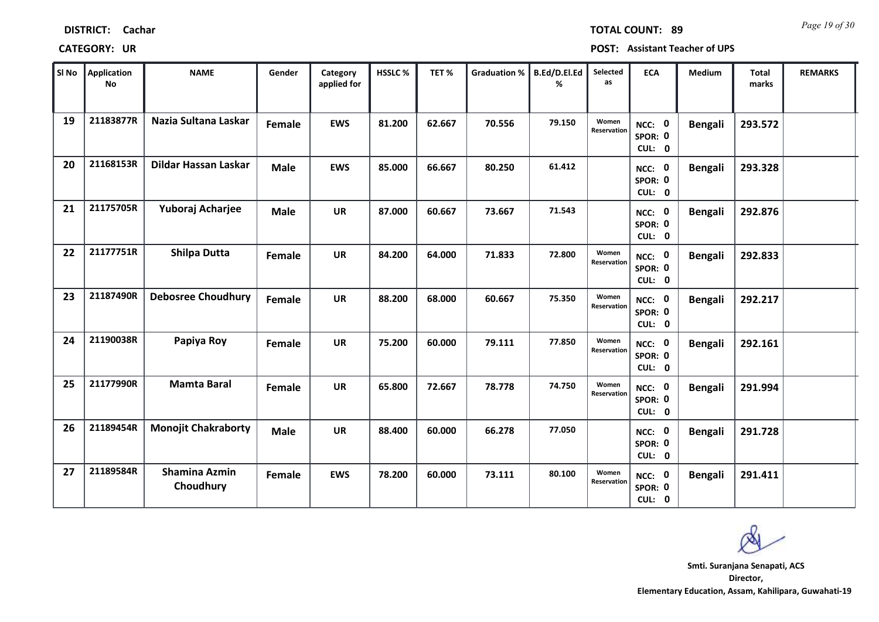| SI No | Application<br>No | <b>NAME</b>                       | Gender      | Category<br>applied for | HSSLC% | TET%   | <b>Graduation %</b> | B.Ed/D.El.Ed<br>% | Selected<br>as       | <b>ECA</b>                         | Medium         | <b>Total</b><br>marks | <b>REMARKS</b> |
|-------|-------------------|-----------------------------------|-------------|-------------------------|--------|--------|---------------------|-------------------|----------------------|------------------------------------|----------------|-----------------------|----------------|
| 19    | 21183877R         | Nazia Sultana Laskar              | Female      | <b>EWS</b>              | 81.200 | 62.667 | 70.556              | 79.150            | Women<br>Reservation | NCC: 0<br>SPOR: 0<br>CUL: 0        | Bengali        | 293.572               |                |
| 20    | 21168153R         | Dildar Hassan Laskar              | <b>Male</b> | <b>EWS</b>              | 85.000 | 66.667 | 80.250              | 61.412            |                      | NCC: 0<br>SPOR: 0<br>CUL: 0        | <b>Bengali</b> | 293.328               |                |
| 21    | 21175705R         | Yuboraj Acharjee                  | <b>Male</b> | <b>UR</b>               | 87.000 | 60.667 | 73.667              | 71.543            |                      | NCC: 0<br>SPOR: 0<br>CUL: 0        | <b>Bengali</b> | 292.876               |                |
| 22    | 21177751R         | Shilpa Dutta                      | Female      | <b>UR</b>               | 84.200 | 64.000 | 71.833              | 72.800            | Women<br>Reservation | NCC: 0<br>SPOR: 0<br>CUL: 0        | <b>Bengali</b> | 292.833               |                |
| 23    | 21187490R         | <b>Debosree Choudhury</b>         | Female      | <b>UR</b>               | 88.200 | 68.000 | 60.667              | 75.350            | Women<br>Reservation | NCC: 0<br>SPOR: 0<br>CUL: 0        | <b>Bengali</b> | 292.217               |                |
| 24    | 21190038R         | Papiya Roy                        | Female      | <b>UR</b>               | 75.200 | 60.000 | 79.111              | 77.850            | Women<br>Reservation | NCC: 0<br>SPOR: 0<br>CUL: 0        | <b>Bengali</b> | 292.161               |                |
| 25    | 21177990R         | <b>Mamta Baral</b>                | Female      | <b>UR</b>               | 65.800 | 72.667 | 78.778              | 74.750            | Women<br>Reservation | NCC: 0<br>SPOR: 0<br>CUL: 0        | <b>Bengali</b> | 291.994               |                |
| 26    | 21189454R         | <b>Monojit Chakraborty</b>        | <b>Male</b> | <b>UR</b>               | 88.400 | 60.000 | 66.278              | 77.050            |                      | <b>NCC: 0</b><br>SPOR: 0<br>CUL: 0 | <b>Bengali</b> | 291.728               |                |
| 27    | 21189584R         | <b>Shamina Azmin</b><br>Choudhury | Female      | <b>EWS</b>              | 78.200 | 60.000 | 73.111              | 80.100            | Women<br>Reservation | NCC: 0<br>SPOR: 0<br>CUL: 0        | Bengali        | 291.411               |                |

# **CATEGORY: UR POST: Assistant Teacher of UPS**

**Director, Elementary Education, Assam, Kahilipara, Guwahati-19 Smti. Suranjana Senapati, ACS**

**DISTRICT: Cachar**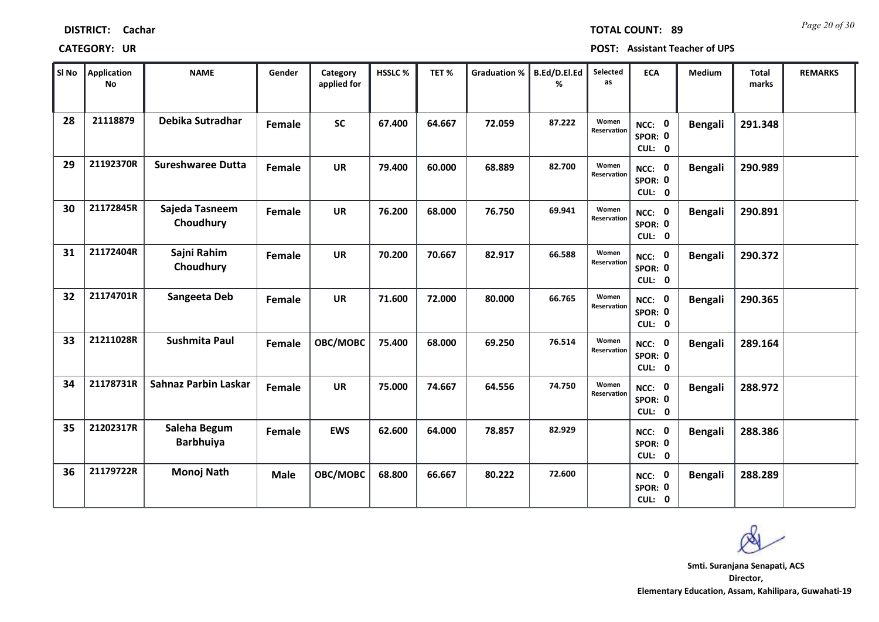| SI No | <b>Application</b><br><b>No</b> | <b>NAME</b>                      | Gender        | Category<br>applied for | HSSLC% | TET%   | <b>Graduation %</b> | B.Ed/D.El.Ed<br>% | Selected<br>as       | <b>ECA</b>                               | Medium         | <b>Total</b><br>marks | <b>REMARKS</b> |
|-------|---------------------------------|----------------------------------|---------------|-------------------------|--------|--------|---------------------|-------------------|----------------------|------------------------------------------|----------------|-----------------------|----------------|
| 28    | 21118879                        | Debika Sutradhar                 | Female        | <b>SC</b>               | 67.400 | 64.667 | 72.059              | 87.222            | Women<br>Reservation | $\mathbf 0$<br>NCC:<br>SPOR: 0<br>CUL: 0 | <b>Bengali</b> | 291.348               |                |
| 29    | 21192370R                       | <b>Sureshwaree Dutta</b>         | Female        | <b>UR</b>               | 79.400 | 60.000 | 68.889              | 82.700            | Women<br>Reservation | NCC: 0<br>SPOR: 0<br>CUL: 0              | <b>Bengali</b> | 290.989               |                |
| 30    | 21172845R                       | Sajeda Tasneem<br>Choudhury      | Female        | <b>UR</b>               | 76.200 | 68.000 | 76.750              | 69.941            | Women<br>Reservation | NCC: 0<br>SPOR: 0<br>CUL: 0              | <b>Bengali</b> | 290.891               |                |
| 31    | 21172404R                       | Sajni Rahim<br>Choudhury         | <b>Female</b> | <b>UR</b>               | 70.200 | 70.667 | 82.917              | 66.588            | Women<br>Reservation | NCC: 0<br>SPOR: 0<br>CUL: 0              | <b>Bengali</b> | 290.372               |                |
| 32    | 21174701R                       | Sangeeta Deb                     | Female        | <b>UR</b>               | 71.600 | 72.000 | 80.000              | 66.765            | Women<br>Reservation | NCC: 0<br>SPOR: 0<br>CUL: 0              | <b>Bengali</b> | 290.365               |                |
| 33    | 21211028R                       | <b>Sushmita Paul</b>             | Female        | OBC/MOBC                | 75.400 | 68.000 | 69.250              | 76.514            | Women<br>Reservation | $\mathbf 0$<br>NCC:<br>SPOR: 0<br>CUL: 0 | <b>Bengali</b> | 289.164               |                |
| 34    | 21178731R                       | <b>Sahnaz Parbin Laskar</b>      | Female        | <b>UR</b>               | 75.000 | 74.667 | 64.556              | 74.750            | Women<br>Reservation | NCC: 0<br>SPOR: 0<br>CUL: 0              | <b>Bengali</b> | 288.972               |                |
| 35    | 21202317R                       | Saleha Begum<br><b>Barbhuiya</b> | Female        | <b>EWS</b>              | 62.600 | 64.000 | 78.857              | 82.929            |                      | <b>NCC: 0</b><br>SPOR: 0<br>CUL: 0       | <b>Bengali</b> | 288.386               |                |
| 36    | 21179722R                       | Monoj Nath                       | <b>Male</b>   | OBC/MOBC                | 68.800 | 66.667 | 80.222              | 72.600            |                      | <b>NCC: 0</b><br>SPOR: 0<br>CUL: 0       | <b>Bengali</b> | 288.289               |                |

**CATEGORY: UR POST: Assistant Teacher of UPS**

*Page 20 of 30* **TOTAL COUNT: 89**

**DISTRICT: Cachar**

т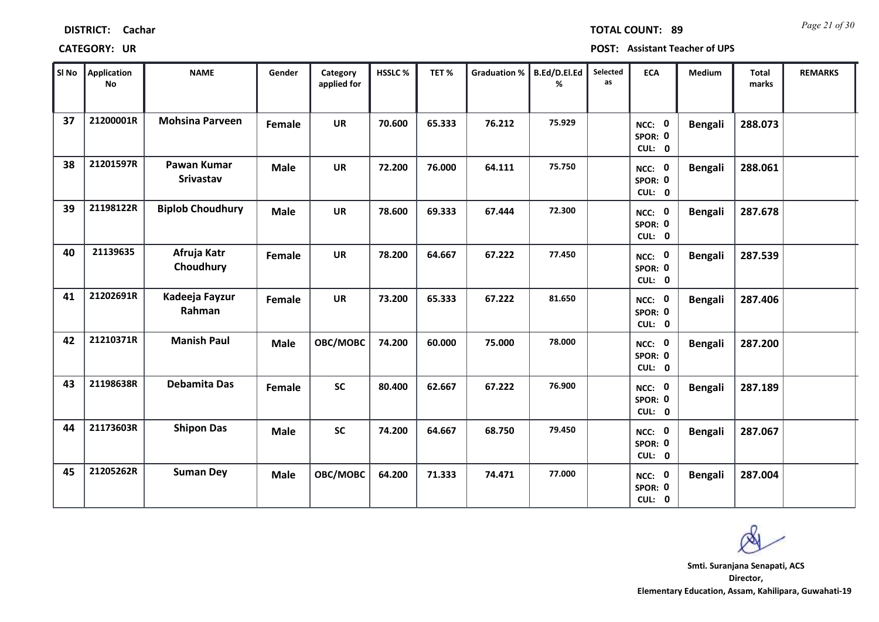| SI No | Application<br>No | <b>NAME</b>              | Gender      | Category<br>applied for | HSSLC% | TET%   | <b>Graduation %</b> | B.Ed/D.El.Ed<br>% | Selected<br>as | <b>ECA</b>                  | Medium         | <b>Total</b><br>marks | <b>REMARKS</b> |
|-------|-------------------|--------------------------|-------------|-------------------------|--------|--------|---------------------|-------------------|----------------|-----------------------------|----------------|-----------------------|----------------|
| 37    | 21200001R         | <b>Mohsina Parveen</b>   | Female      | <b>UR</b>               | 70.600 | 65.333 | 76.212              | 75.929            |                | NCC: 0<br>SPOR: 0<br>CUL: 0 | <b>Bengali</b> | 288.073               |                |
| 38    | 21201597R         | Pawan Kumar<br>Srivastav | <b>Male</b> | <b>UR</b>               | 72.200 | 76.000 | 64.111              | 75.750            |                | NCC: 0<br>SPOR: 0<br>CUL: 0 | <b>Bengali</b> | 288.061               |                |
| 39    | 21198122R         | <b>Biplob Choudhury</b>  | <b>Male</b> | <b>UR</b>               | 78.600 | 69.333 | 67.444              | 72.300            |                | NCC: 0<br>SPOR: 0<br>CUL: 0 | <b>Bengali</b> | 287.678               |                |
| 40    | 21139635          | Afruja Katr<br>Choudhury | Female      | <b>UR</b>               | 78.200 | 64.667 | 67.222              | 77.450            |                | NCC: 0<br>SPOR: 0<br>CUL: 0 | <b>Bengali</b> | 287.539               |                |
| 41    | 21202691R         | Kadeeja Fayzur<br>Rahman | Female      | <b>UR</b>               | 73.200 | 65.333 | 67.222              | 81.650            |                | NCC: 0<br>SPOR: 0<br>CUL: 0 | <b>Bengali</b> | 287.406               |                |
| 42    | 21210371R         | <b>Manish Paul</b>       | <b>Male</b> | OBC/MOBC                | 74.200 | 60.000 | 75.000              | 78.000            |                | NCC: 0<br>SPOR: 0<br>CUL: 0 | <b>Bengali</b> | 287.200               |                |
| 43    | 21198638R         | <b>Debamita Das</b>      | Female      | <b>SC</b>               | 80.400 | 62.667 | 67.222              | 76.900            |                | NCC: 0<br>SPOR: 0<br>CUL: 0 | <b>Bengali</b> | 287.189               |                |
| 44    | 21173603R         | <b>Shipon Das</b>        | <b>Male</b> | <b>SC</b>               | 74.200 | 64.667 | 68.750              | 79.450            |                | NCC: 0<br>SPOR: 0<br>CUL: 0 | <b>Bengali</b> | 287.067               |                |
| 45    | 21205262R         | <b>Suman Dey</b>         | <b>Male</b> | OBC/MOBC                | 64.200 | 71.333 | 74.471              | 77.000            |                | NCC: 0<br>SPOR: 0<br>CUL: 0 | <b>Bengali</b> | 287.004               |                |

# **CATEGORY: UR POST: Assistant Teacher of UPS**

*Page 21 of 30* **TOTAL COUNT: 89**

**Director, Elementary Education, Assam, Kahilipara, Guwahati-19 Smti. Suranjana Senapati, ACS**

**DISTRICT: Cachar**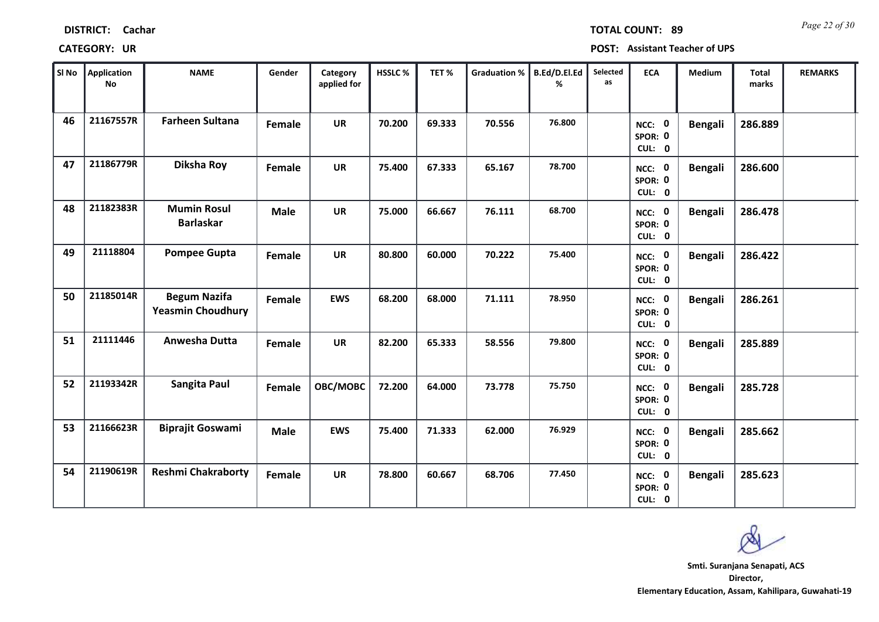| SI No | <b>Application</b><br>No | <b>NAME</b>                                     | Gender      | Category<br>applied for | HSSLC% | TET%   | <b>Graduation %</b> | B.Ed/D.El.Ed<br>% | Selected<br>as | <b>ECA</b>                         | Medium         | <b>Total</b><br>marks | <b>REMARKS</b> |
|-------|--------------------------|-------------------------------------------------|-------------|-------------------------|--------|--------|---------------------|-------------------|----------------|------------------------------------|----------------|-----------------------|----------------|
| 46    | 21167557R                | <b>Farheen Sultana</b>                          | Female      | <b>UR</b>               | 70.200 | 69.333 | 70.556              | 76.800            |                | NCC: 0<br>SPOR: 0<br>CUL: 0        | <b>Bengali</b> | 286.889               |                |
| 47    | 21186779R                | Diksha Roy                                      | Female      | <b>UR</b>               | 75.400 | 67.333 | 65.167              | 78.700            |                | NCC: 0<br>SPOR: 0<br>CUL: 0        | <b>Bengali</b> | 286.600               |                |
| 48    | 21182383R                | <b>Mumin Rosul</b><br><b>Barlaskar</b>          | <b>Male</b> | <b>UR</b>               | 75.000 | 66.667 | 76.111              | 68.700            |                | NCC: 0<br>SPOR: 0<br>CUL: 0        | <b>Bengali</b> | 286.478               |                |
| 49    | 21118804                 | <b>Pompee Gupta</b>                             | Female      | <b>UR</b>               | 80.800 | 60.000 | 70.222              | 75.400            |                | NCC: 0<br>SPOR: 0<br>CUL: 0        | <b>Bengali</b> | 286.422               |                |
| 50    | 21185014R                | <b>Begum Nazifa</b><br><b>Yeasmin Choudhury</b> | Female      | <b>EWS</b>              | 68.200 | 68.000 | 71.111              | 78.950            |                | NCC: 0<br>SPOR: 0<br>CUL: 0        | <b>Bengali</b> | 286.261               |                |
| 51    | 21111446                 | Anwesha Dutta                                   | Female      | <b>UR</b>               | 82.200 | 65.333 | 58.556              | 79.800            |                | NCC: 0<br>SPOR: 0<br>CUL: 0        | <b>Bengali</b> | 285.889               |                |
| 52    | 21193342R                | Sangita Paul                                    | Female      | OBC/MOBC                | 72.200 | 64.000 | 73.778              | 75.750            |                | NCC: 0<br>SPOR: 0<br>CUL: 0        | <b>Bengali</b> | 285.728               |                |
| 53    | 21166623R                | <b>Biprajit Goswami</b>                         | <b>Male</b> | <b>EWS</b>              | 75.400 | 71.333 | 62.000              | 76.929            |                | <b>NCC: 0</b><br>SPOR: 0<br>CUL: 0 | <b>Bengali</b> | 285.662               |                |
| 54    | 21190619R                | <b>Reshmi Chakraborty</b>                       | Female      | <b>UR</b>               | 78.800 | 60.667 | 68.706              | 77.450            |                | NCC: 0<br>SPOR: 0<br>CUL: 0        | <b>Bengali</b> | 285.623               |                |

**DISTRICT: Cachar**

**CATEGORY: UR POST: Assistant Teacher of UPS**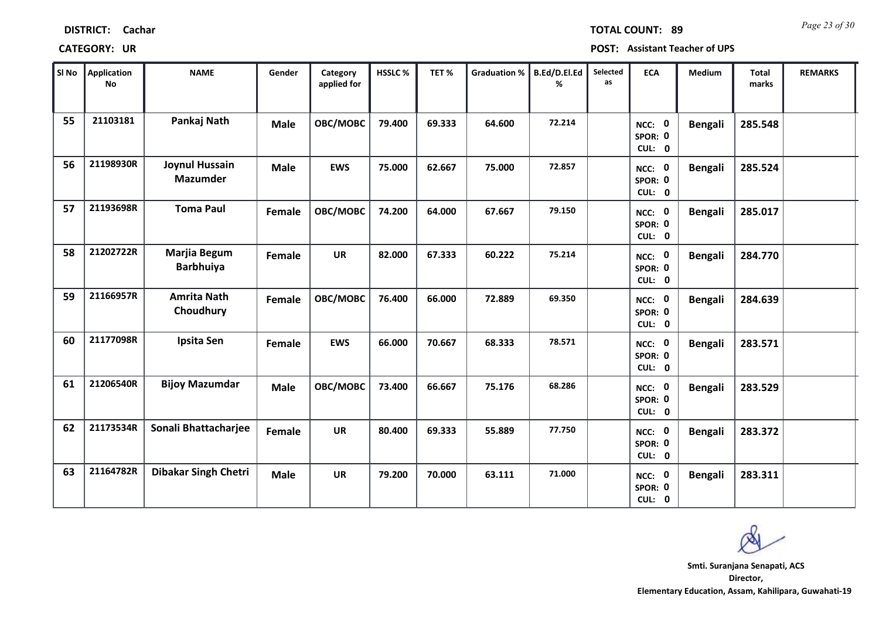| SI No | Application<br>No | <b>NAME</b>                             | Gender      | Category<br>applied for | HSSLC% | TET%   | <b>Graduation %</b> | B.Ed/D.El.Ed<br>℅ | Selected<br>as | <b>ECA</b>                         | Medium         | <b>Total</b><br>marks | <b>REMARKS</b> |
|-------|-------------------|-----------------------------------------|-------------|-------------------------|--------|--------|---------------------|-------------------|----------------|------------------------------------|----------------|-----------------------|----------------|
| 55    | 21103181          | Pankaj Nath                             | <b>Male</b> | OBC/MOBC                | 79.400 | 69.333 | 64.600              | 72.214            |                | NCC: 0<br>SPOR: 0<br>CUL: 0        | <b>Bengali</b> | 285.548               |                |
| 56    | 21198930R         | Joynul Hussain<br><b>Mazumder</b>       | <b>Male</b> | <b>EWS</b>              | 75.000 | 62.667 | 75.000              | 72.857            |                | NCC: 0<br>SPOR: 0<br>CUL: 0        | <b>Bengali</b> | 285.524               |                |
| 57    | 21193698R         | <b>Toma Paul</b>                        | Female      | OBC/MOBC                | 74.200 | 64.000 | 67.667              | 79.150            |                | NCC: 0<br>SPOR: 0<br>CUL: 0        | <b>Bengali</b> | 285.017               |                |
| 58    | 21202722R         | <b>Marjia Begum</b><br><b>Barbhuiya</b> | Female      | <b>UR</b>               | 82.000 | 67.333 | 60.222              | 75.214            |                | NCC: 0<br>SPOR: 0<br>CUL: 0        | <b>Bengali</b> | 284.770               |                |
| 59    | 21166957R         | <b>Amrita Nath</b><br>Choudhury         | Female      | OBC/MOBC                | 76.400 | 66.000 | 72.889              | 69.350            |                | NCC: 0<br>SPOR: 0<br>CUL: 0        | <b>Bengali</b> | 284.639               |                |
| 60    | 21177098R         | Ipsita Sen                              | Female      | <b>EWS</b>              | 66.000 | 70.667 | 68.333              | 78.571            |                | NCC: 0<br>SPOR: 0<br>CUL: 0        | <b>Bengali</b> | 283.571               |                |
| 61    | 21206540R         | <b>Bijoy Mazumdar</b>                   | <b>Male</b> | OBC/MOBC                | 73.400 | 66.667 | 75.176              | 68.286            |                | NCC: 0<br>SPOR: 0<br>CUL: 0        | <b>Bengali</b> | 283.529               |                |
| 62    | 21173534R         | Sonali Bhattacharjee                    | Female      | <b>UR</b>               | 80.400 | 69.333 | 55.889              | 77.750            |                | <b>NCC: 0</b><br>SPOR: 0<br>CUL: 0 | <b>Bengali</b> | 283.372               |                |
| 63    | 21164782R         | <b>Dibakar Singh Chetri</b>             | <b>Male</b> | <b>UR</b>               | 79.200 | 70.000 | 63.111              | 71.000            |                | <b>NCC: 0</b><br>SPOR: 0<br>CUL: 0 | <b>Bengali</b> | 283.311               |                |

# **DISTRICT: Cachar**

**CATEGORY: UR POST: Assistant Teacher of UPS**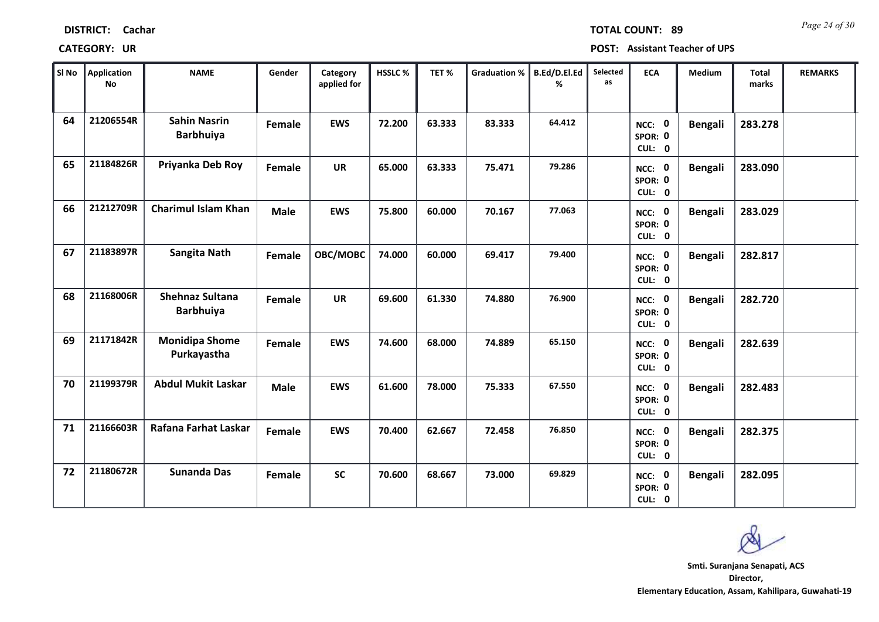| <b>DISTRICT:</b> | Cachar |
|------------------|--------|
|------------------|--------|

### **CATEGORY: UR POST: Assistant Teacher of UPS**

| SI No | <b>Application</b><br><b>No</b> | <b>NAME</b>                                | Gender      | Category<br>applied for | HSSLC % | TET%   | <b>Graduation %</b> | B.Ed/D.El.Ed<br>% | Selected<br>as | <b>ECA</b>                               | Medium         | <b>Total</b><br>marks | <b>REMARKS</b> |
|-------|---------------------------------|--------------------------------------------|-------------|-------------------------|---------|--------|---------------------|-------------------|----------------|------------------------------------------|----------------|-----------------------|----------------|
| 64    | 21206554R                       | <b>Sahin Nasrin</b><br><b>Barbhuiya</b>    | Female      | <b>EWS</b>              | 72.200  | 63.333 | 83.333              | 64.412            |                | NCC: 0<br>SPOR: 0<br>CUL: 0              | <b>Bengali</b> | 283.278               |                |
| 65    | 21184826R                       | Priyanka Deb Roy                           | Female      | <b>UR</b>               | 65.000  | 63.333 | 75.471              | 79.286            |                | NCC: 0<br>SPOR: 0<br>CUL: 0              | <b>Bengali</b> | 283.090               |                |
| 66    | 21212709R                       | <b>Charimul Islam Khan</b>                 | <b>Male</b> | <b>EWS</b>              | 75.800  | 60.000 | 70.167              | 77.063            |                | NCC: 0<br>SPOR: 0<br>CUL: 0              | <b>Bengali</b> | 283.029               |                |
| 67    | 21183897R                       | <b>Sangita Nath</b>                        | Female      | OBC/MOBC                | 74.000  | 60.000 | 69.417              | 79.400            |                | $\mathbf 0$<br>NCC:<br>SPOR: 0<br>CUL: 0 | <b>Bengali</b> | 282.817               |                |
| 68    | 21168006R                       | <b>Shehnaz Sultana</b><br><b>Barbhuiya</b> | Female      | <b>UR</b>               | 69.600  | 61.330 | 74.880              | 76.900            |                | $\mathbf 0$<br>NCC:<br>SPOR: 0<br>CUL: 0 | <b>Bengali</b> | 282.720               |                |
| 69    | 21171842R                       | <b>Monidipa Shome</b><br>Purkayastha       | Female      | <b>EWS</b>              | 74.600  | 68.000 | 74.889              | 65.150            |                | NCC: 0<br>SPOR: 0<br>CUL: 0              | <b>Bengali</b> | 282.639               |                |
| 70    | 21199379R                       | <b>Abdul Mukit Laskar</b>                  | <b>Male</b> | <b>EWS</b>              | 61.600  | 78.000 | 75.333              | 67.550            |                | NCC: 0<br>SPOR: 0<br>CUL: 0              | <b>Bengali</b> | 282.483               |                |
| 71    | 21166603R                       | Rafana Farhat Laskar                       | Female      | <b>EWS</b>              | 70.400  | 62.667 | 72.458              | 76.850            |                | <b>NCC: 0</b><br>SPOR: 0<br>CUL: 0       | <b>Bengali</b> | 282.375               |                |
| 72    | 21180672R                       | <b>Sunanda Das</b>                         | Female      | <b>SC</b>               | 70.600  | 68.667 | 73.000              | 69.829            |                | $\mathbf 0$<br>NCC:<br>SPOR: 0<br>CUL: 0 | <b>Bengali</b> | 282.095               |                |

**Director, Elementary Education, Assam, Kahilipara, Guwahati-19 Smti. Suranjana Senapati, ACS**

*Page 24 of 30* **TOTAL COUNT: 89**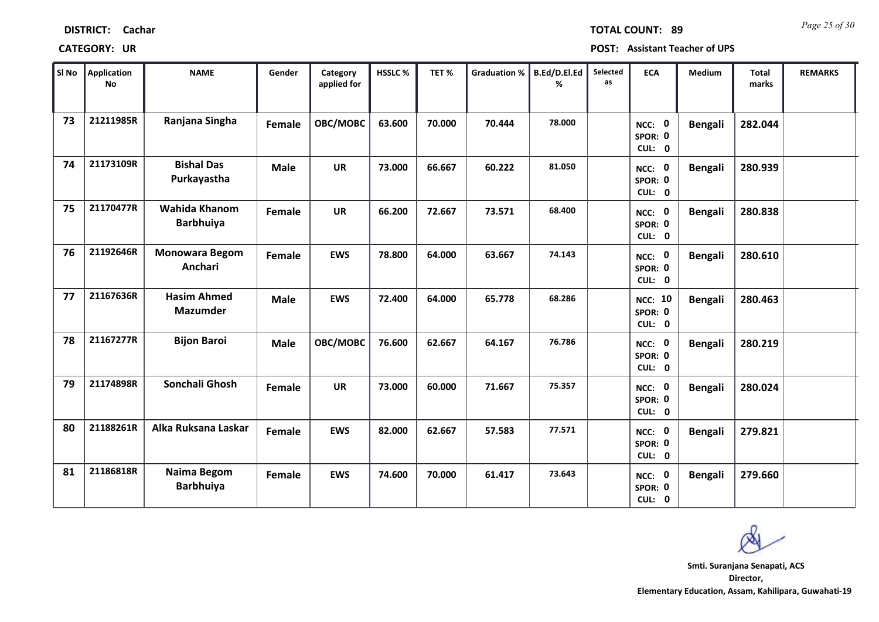| SI No | Application<br>No | <b>NAME</b>                           | Gender        | Category<br>applied for | HSSLC% | TET%   | <b>Graduation %</b> | B.Ed/D.El.Ed<br>℅ | Selected<br>as | <b>ECA</b>                          | Medium         | <b>Total</b><br>marks | <b>REMARKS</b> |
|-------|-------------------|---------------------------------------|---------------|-------------------------|--------|--------|---------------------|-------------------|----------------|-------------------------------------|----------------|-----------------------|----------------|
| 73    | 21211985R         | Ranjana Singha                        | <b>Female</b> | OBC/MOBC                | 63.600 | 70.000 | 70.444              | 78.000            |                | NCC: 0<br>SPOR: 0<br>CUL: 0         | <b>Bengali</b> | 282.044               |                |
| 74    | 21173109R         | <b>Bishal Das</b><br>Purkayastha      | <b>Male</b>   | <b>UR</b>               | 73.000 | 66.667 | 60.222              | 81.050            |                | NCC: 0<br>SPOR: 0<br>CUL: 0         | <b>Bengali</b> | 280.939               |                |
| 75    | 21170477R         | Wahida Khanom<br><b>Barbhuiya</b>     | Female        | <b>UR</b>               | 66.200 | 72.667 | 73.571              | 68,400            |                | NCC: 0<br>SPOR: 0<br>CUL: 0         | <b>Bengali</b> | 280.838               |                |
| 76    | 21192646R         | <b>Monowara Begom</b><br>Anchari      | Female        | <b>EWS</b>              | 78.800 | 64.000 | 63.667              | 74.143            |                | NCC: 0<br>SPOR: 0<br>CUL: 0         | <b>Bengali</b> | 280.610               |                |
| 77    | 21167636R         | <b>Hasim Ahmed</b><br><b>Mazumder</b> | <b>Male</b>   | <b>EWS</b>              | 72.400 | 64.000 | 65.778              | 68.286            |                | <b>NCC: 10</b><br>SPOR: 0<br>CUL: 0 | <b>Bengali</b> | 280.463               |                |
| 78    | 21167277R         | <b>Bijon Baroi</b>                    | <b>Male</b>   | OBC/MOBC                | 76.600 | 62.667 | 64.167              | 76.786            |                | NCC: 0<br>SPOR: 0<br>CUL: 0         | <b>Bengali</b> | 280.219               |                |
| 79    | 21174898R         | Sonchali Ghosh                        | Female        | <b>UR</b>               | 73.000 | 60.000 | 71.667              | 75.357            |                | NCC: 0<br>SPOR: 0<br>CUL: 0         | <b>Bengali</b> | 280.024               |                |
| 80    | 21188261R         | Alka Ruksana Laskar                   | Female        | <b>EWS</b>              | 82.000 | 62.667 | 57.583              | 77.571            |                | <b>NCC: 0</b><br>SPOR: 0<br>CUL: 0  | <b>Bengali</b> | 279.821               |                |
| 81    | 21186818R         | Naima Begom<br><b>Barbhuiya</b>       | Female        | <b>EWS</b>              | 74.600 | 70.000 | 61.417              | 73.643            |                | <b>NCC: 0</b><br>SPOR: 0<br>CUL: 0  | <b>Bengali</b> | 279.660               |                |

# **DISTRICT: Cachar**

# **CATEGORY: UR POST: Assistant Teacher of UPS**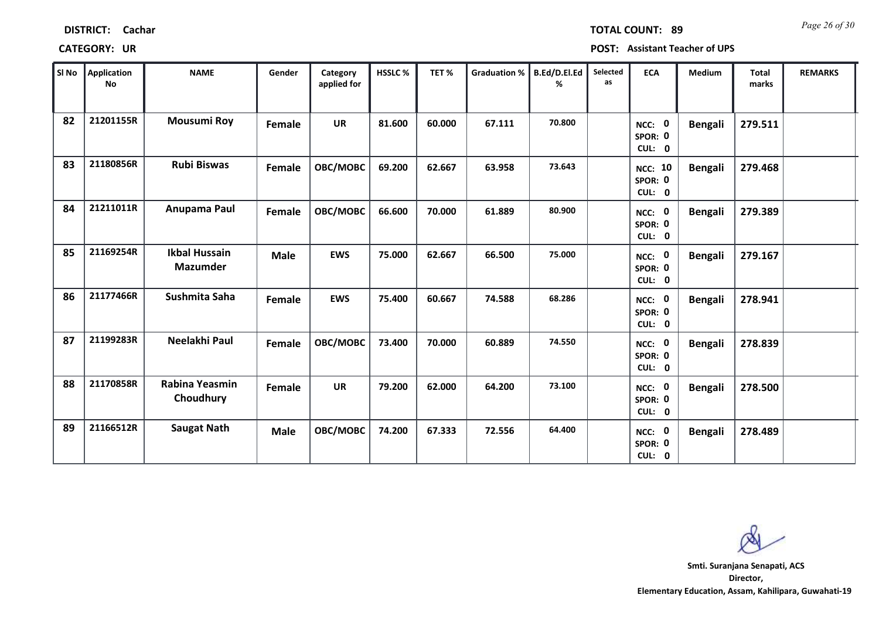| SI No | Application<br>No | <b>NAME</b>                             | Gender        | Category<br>applied for | HSSLC% | TET%   | Graduation % | <b>B.Ed/D.El.Ed</b><br>℅ | Selected<br>as | <b>ECA</b>                          | Medium         | <b>Total</b><br>marks | <b>REMARKS</b> |
|-------|-------------------|-----------------------------------------|---------------|-------------------------|--------|--------|--------------|--------------------------|----------------|-------------------------------------|----------------|-----------------------|----------------|
| 82    | 21201155R         | <b>Mousumi Roy</b>                      | <b>Female</b> | <b>UR</b>               | 81.600 | 60.000 | 67.111       | 70.800                   |                | NCC: 0<br>SPOR: 0<br>CUL: 0         | <b>Bengali</b> | 279.511               |                |
| 83    | 21180856R         | <b>Rubi Biswas</b>                      | Female        | OBC/MOBC                | 69.200 | 62.667 | 63.958       | 73.643                   |                | <b>NCC: 10</b><br>SPOR: 0<br>CUL: 0 | <b>Bengali</b> | 279.468               |                |
| 84    | 21211011R         | Anupama Paul                            | Female        | OBC/MOBC                | 66.600 | 70.000 | 61.889       | 80.900                   |                | NCC: 0<br>SPOR: 0<br>CUL: 0         | Bengali        | 279.389               |                |
| 85    | 21169254R         | <b>Ikbal Hussain</b><br><b>Mazumder</b> | <b>Male</b>   | <b>EWS</b>              | 75.000 | 62.667 | 66.500       | 75.000                   |                | NCC: 0<br>SPOR: 0<br>CUL: 0         | Bengali        | 279.167               |                |
| 86    | 21177466R         | Sushmita Saha                           | Female        | <b>EWS</b>              | 75.400 | 60.667 | 74.588       | 68.286                   |                | NCC: 0<br>SPOR: 0<br>CUL: 0         | <b>Bengali</b> | 278.941               |                |
| 87    | 21199283R         | Neelakhi Paul                           | Female        | OBC/MOBC                | 73.400 | 70.000 | 60.889       | 74.550                   |                | NCC: 0<br>SPOR: 0<br>CUL: 0         | <b>Bengali</b> | 278.839               |                |
| 88    | 21170858R         | Rabina Yeasmin<br>Choudhury             | <b>Female</b> | <b>UR</b>               | 79.200 | 62.000 | 64.200       | 73.100                   |                | NCC: 0<br>SPOR: 0<br>CUL: 0         | Bengali        | 278.500               |                |
| 89    | 21166512R         | <b>Saugat Nath</b>                      | <b>Male</b>   | <b>OBC/MOBC</b>         | 74.200 | 67.333 | 72.556       | 64.400                   |                | NCC: 0<br>SPOR: 0<br>CUL: 0         | <b>Bengali</b> | 278.489               |                |

т

r.

**CATEGORY: UR POST: Assistant Teacher of UPS**

**Director, Elementary Education, Assam, Kahilipara, Guwahati-19 Smti. Suranjana Senapati, ACS**

*Page 26 of 30* **TOTAL COUNT: 89**

**DISTRICT: Cachar**

т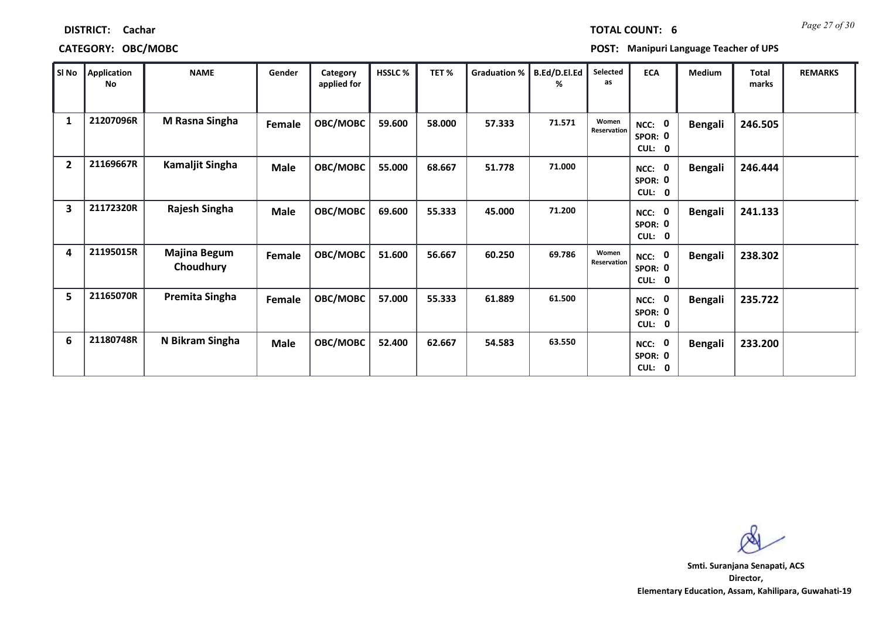| SI No        | Application<br>No | <b>NAME</b>                      | Gender      | Category<br>applied for | HSSLC % | TET%   | Graduation % | B.Ed/D.El.Ed<br>℅ | Selected<br>as       | <b>ECA</b>                     | Medium         | <b>Total</b><br>marks | <b>REMARKS</b> |
|--------------|-------------------|----------------------------------|-------------|-------------------------|---------|--------|--------------|-------------------|----------------------|--------------------------------|----------------|-----------------------|----------------|
| $\mathbf{1}$ | 21207096R         | M Rasna Singha                   | Female      | OBC/MOBC                | 59.600  | 58.000 | 57.333       | 71.571            | Women<br>Reservation | NCC: 0<br>SPOR: 0<br>CUL: 0    | <b>Bengali</b> | 246.505               |                |
| $\mathbf{2}$ | 21169667R         | <b>Kamaljit Singha</b>           | <b>Male</b> | OBC/MOBC                | 55.000  | 68.667 | 51.778       | 71.000            |                      | NCC: 0<br>SPOR: 0<br>CUL: 0    | <b>Bengali</b> | 246.444               |                |
| 3            | 21172320R         | Rajesh Singha                    | <b>Male</b> | OBC/MOBC                | 69.600  | 55.333 | 45.000       | 71.200            |                      | NCC: 0<br>SPOR: 0<br>CUL: 0    | <b>Bengali</b> | 241.133               |                |
| 4            | 21195015R         | <b>Majina Begum</b><br>Choudhury | Female      | OBC/MOBC                | 51.600  | 56.667 | 60.250       | 69.786            | Women<br>Reservation | NCC: 0<br>SPOR: 0<br>CUL: 0    | <b>Bengali</b> | 238.302               |                |
| 5            | 21165070R         | Premita Singha                   | Female      | OBC/MOBC                | 57.000  | 55.333 | 61.889       | 61.500            |                      | 0<br>NCC:<br>SPOR: 0<br>CUL: 0 | <b>Bengali</b> | 235.722               |                |
| 6            | 21180748R         | N Bikram Singha                  | <b>Male</b> | OBC/MOBC                | 52.400  | 62.667 | 54.583       | 63.550            |                      | NCC: 0<br>SPOR: 0<br>CUL: 0    | <b>Bengali</b> | 233.200               |                |

*Page 27 of 30* **TOTAL COUNT: 6**

**DISTRICT: Cachar**

# **CATEGORY: OBC/MOBC POST: Manipuri Language Teacher of UPS**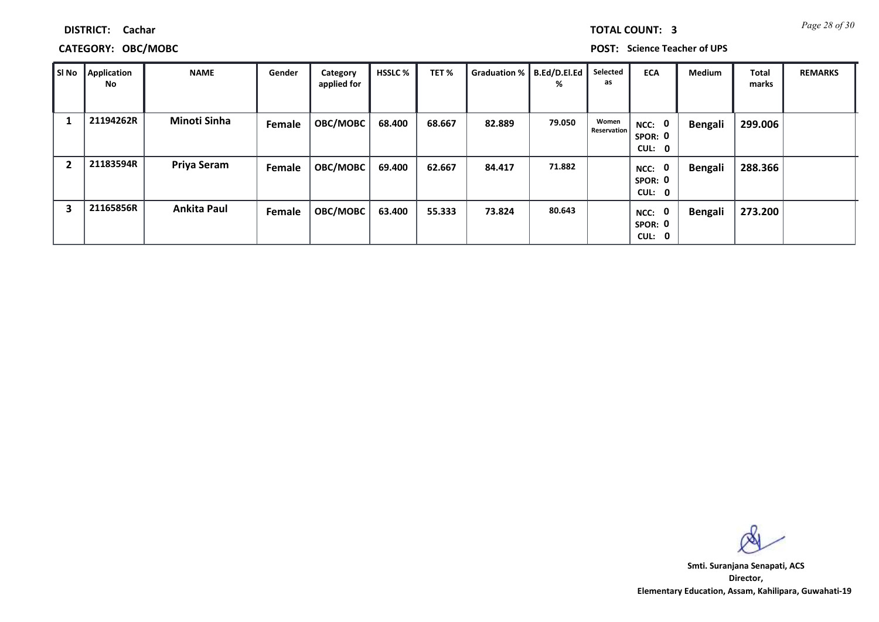|  | <b>TOTAL COUNT:</b> |  |
|--|---------------------|--|
|  |                     |  |

# **CATEGORY: OBC/MOBC POST: Science Teacher of UPS**

| l Si No                 | Application<br>No | <b>NAME</b>         | Gender | Category<br>applied for | <b>HSSLC</b> % | TET%   | Graduation %   B.Ed/D.El.Ed | %      | Selected<br>as              | <b>ECA</b>                     | <b>Medium</b>  | <b>Total</b><br>marks | <b>REMARKS</b> |
|-------------------------|-------------------|---------------------|--------|-------------------------|----------------|--------|-----------------------------|--------|-----------------------------|--------------------------------|----------------|-----------------------|----------------|
|                         | 21194262R         | <b>Minoti Sinha</b> | Female | OBC/MOBC                | 68.400         | 68.667 | 82.889                      | 79.050 | Women<br><b>Reservation</b> | NCC: 0<br>SPOR: 0<br>CUL: 0    | <b>Bengali</b> | 299.006               |                |
| -2                      | 21183594R         | Priya Seram         | Female | OBC/MOBC                | 69.400         | 62.667 | 84.417                      | 71.882 |                             | 0<br>NCC:<br>SPOR: 0<br>CUL: 0 | <b>Bengali</b> | 288.366               |                |
| $\overline{\mathbf{3}}$ | 21165856R         | <b>Ankita Paul</b>  | Female | OBC/MOBC                | 63.400         | 55.333 | 73.824                      | 80.643 |                             | 0<br>NCC:<br>SPOR: 0<br>CUL: 0 | <b>Bengali</b> | 273.200               |                |

**Director, Elementary Education, Assam, Kahilipara, Guwahati-19 Smti. Suranjana Senapati, ACS**

**3 Page 28 of 30**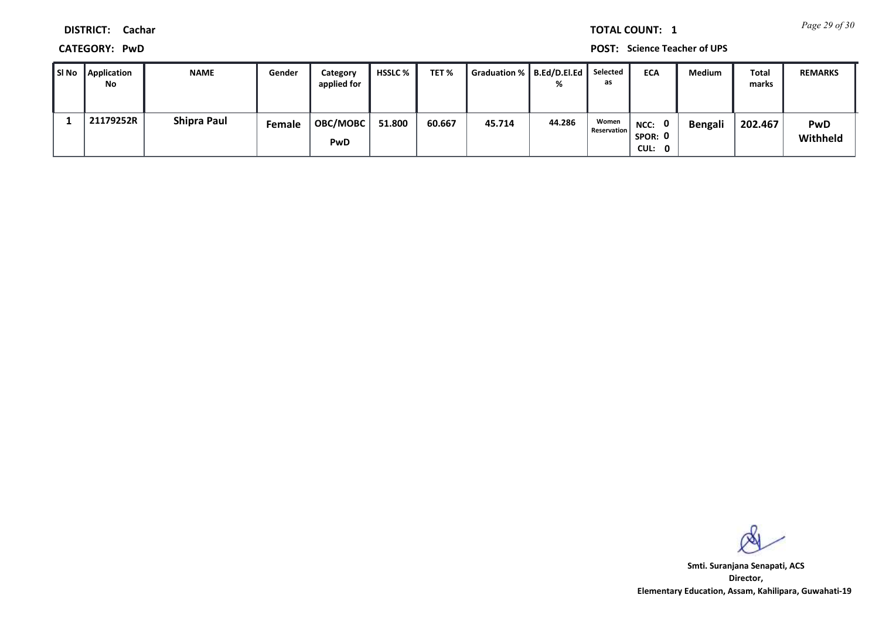*Page 29 of 30* **TOTAL COUNT: 1**

**DISTRICT: Cachar**

**CATEGORY: PwD POST: Science Teacher of UPS**

| Sl No | Application<br>No | <b>NAME</b>        | Gender | Category<br>applied for | HSSLC % | TET %  | Graduation %   B.Ed/D.El.Ed | %      | Selected<br>as              | <b>ECA</b>                                | <b>Medium</b> | <b>Total</b><br>marks | <b>REMARKS</b>         |
|-------|-------------------|--------------------|--------|-------------------------|---------|--------|-----------------------------|--------|-----------------------------|-------------------------------------------|---------------|-----------------------|------------------------|
|       | 21179252R         | <b>Shipra Paul</b> | Female | <b>OBC/MOBC</b><br>PwD  | 51.800  | 60.667 | 45.714                      | 44.286 | Women<br><b>Reservation</b> | $\mathbf{0}$<br>NCC:<br>SPOR: 0<br>CUL: 0 | Bengali       | 202.467               | <b>PwD</b><br>Withheld |